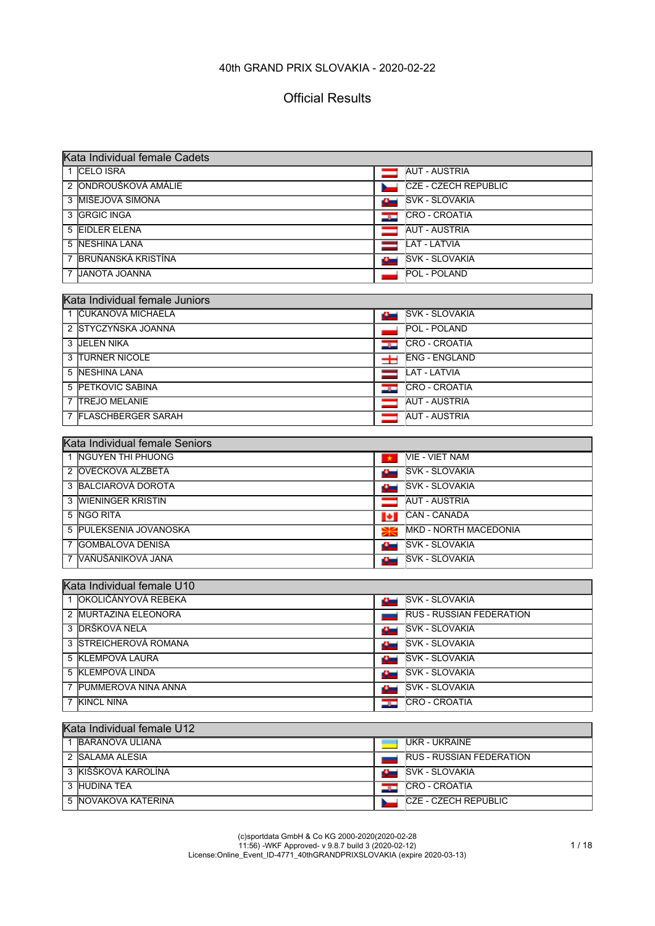| Kata Individual female Cadets                   |              |                                 |  |
|-------------------------------------------------|--------------|---------------------------------|--|
| 1 CELO ISRA                                     |              | <b>AUT - AUSTRIA</b>            |  |
| 2 ONDROUŠKOVÁ AMÁLIE                            |              | <b>CZE - CZECH REPUBLIC</b>     |  |
| 3 MIŠEJOVÁ SIMONA                               | 52-1         | <b>SVK - SLOVAKIA</b>           |  |
| 3 GRGIC INGA                                    | د و د        | <b>CRO - CROATIA</b>            |  |
| 5 EIDLER ELENA                                  |              | <b>AUT - AUSTRIA</b>            |  |
| 5 NESHINA LANA                                  |              | LAT - LATVIA                    |  |
| 7 BRUŇANSKÁ KRISTÍNA                            | سائل         | <b>SVK - SLOVAKIA</b>           |  |
| 7 JANOTA JOANNA                                 |              | <b>POL - POLAND</b>             |  |
|                                                 |              |                                 |  |
| Kata Individual female Juniors                  |              |                                 |  |
| 1  ČUKANOVÁ MICHAELA                            | سائك         | <b>SVK - SLOVAKIA</b>           |  |
| 2 STYCZYŃSKA JOANNA                             |              | POL - POLAND                    |  |
| 3 JELEN NIKA                                    | دود          | <b>CRO - CROATIA</b>            |  |
| <b>3 ITURNER NICOLE</b>                         | 士            | <b>ENG - ENGLAND</b>            |  |
| 5 NESHINA LANA                                  |              | LAT - LATVIA                    |  |
| 5 <b>PETKOVIC SABINA</b>                        | أدزنك        | <b>CRO - CROATIA</b>            |  |
| 7 TREJO MELANIE                                 |              | <b>AUT - AUSTRIA</b>            |  |
| 7 FLASCHBERGER SARAH                            |              | <b>AUT - AUSTRIA</b>            |  |
|                                                 |              |                                 |  |
| Kata Individual female Seniors                  |              |                                 |  |
| 1 NGUYEN THI PHUONG                             | $\star$      | <b>VIE - VIET NAM</b>           |  |
| 2 OVECKOVA ALZBETA                              | <u>л. </u>   | <b>SVK - SLOVAKIA</b>           |  |
| 3 BALCIAROVÁ DOROTA                             | 42-          | <b>SVK - SLOVAKIA</b>           |  |
| 3 WIENINGER KRISTIN                             |              | <b>AUT - AUSTRIA</b>            |  |
| 5 NGO RITA                                      | Н            | CAN - CANADA                    |  |
| 5 PULEKSENIA JOVANOSKA                          |              | MKD - NORTH MACEDONIA           |  |
| 7 GOMBALOVA DENISA                              |              | <b>SVK - SLOVAKIA</b>           |  |
| 7 VAŇUŠANIKOVÁ JANA                             | نسائك        | <b>SVK - SLOVAKIA</b>           |  |
|                                                 |              |                                 |  |
| Kata Individual female U10                      |              |                                 |  |
| 1 OKOLIČÁNYOVÁ REBEKA                           | سائك         | <b>SVK - SLOVAKIA</b>           |  |
| 2 MURTAZINA ELEONORA                            |              | <b>RUS - RUSSIAN FEDERATION</b> |  |
| 3 DRŠKOVÁ NELA                                  | نصول         | <b>SVK - SLOVAKIA</b>           |  |
| 3 STREICHEROVÁ ROMANA                           | a.           | <b>SVK - SLOVAKIA</b>           |  |
| 5 KLEMPOVÁ LAURA                                | سائل         | SVK - SLOVAKIA                  |  |
| 5 KLEMPOVÁ LINDA                                | 41           | <b>SVK - SLOVAKIA</b>           |  |
| 7 PUMMEROVA NINA ANNA                           | ست           | <b>SVK - SLOVAKIA</b>           |  |
| 7 KINCL NINA                                    | <u>لى بى</u> | <b>CRO - CROATIA</b>            |  |
|                                                 |              |                                 |  |
| Kata Individual female U12<br>1 BARANOVA ULIANA |              | UKR - UKRAINE                   |  |
| 2 SALAMA ALESIA                                 |              | <b>RUS - RUSSIAN FEDERATION</b> |  |
| 3 KIŠŠKOVÁ KAROLÍNA                             |              | <b>SVK - SLOVAKIA</b>           |  |
|                                                 | 41-1         |                                 |  |
| 3 HUDINA TEA                                    | دود          | <b>CRO - CROATIA</b>            |  |
| 5 NOVAKOVA KATERINA                             |              | CZE - CZECH REPUBLIC            |  |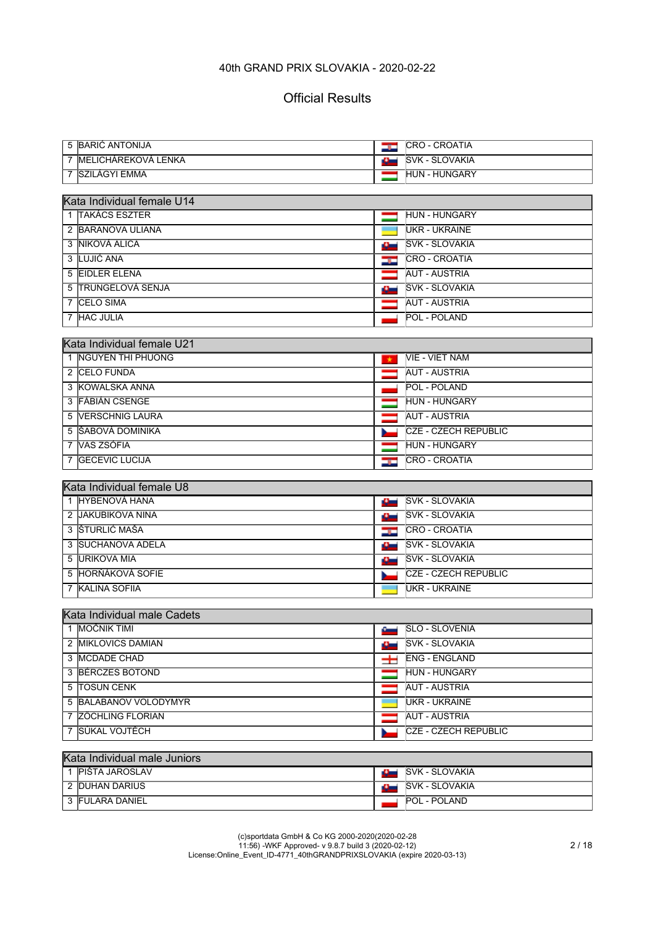#### Official Results

| 5 BARIĆ ANTONIJA                                 | <u>ing in</u> | CRO - CROATIA                           |  |  |  |
|--------------------------------------------------|---------------|-----------------------------------------|--|--|--|
| 7 MELICHÁREKOVÁ LENKA                            | ستقا          | <b>SVK - SLOVAKIA</b>                   |  |  |  |
| 7 SZILÁGYI EMMA                                  |               | <b>HUN - HUNGARY</b>                    |  |  |  |
|                                                  |               |                                         |  |  |  |
| Kata Individual female U14                       |               |                                         |  |  |  |
| 1 TAKÁCS ESZTER                                  |               | <b>HUN - HUNGARY</b>                    |  |  |  |
| 2 BARANOVA ULIANA                                |               | <b>UKR - UKRAINE</b>                    |  |  |  |
| 3 NIKOVÁ ALICA                                   | سائل          | <b>SVK - SLOVAKIA</b>                   |  |  |  |
| 3 LUJIĆ ANA                                      | s             | <b>CRO - CROATIA</b>                    |  |  |  |
| 5 EIDLER ELENA                                   |               | <b>AUT - AUSTRIA</b>                    |  |  |  |
| 5 TRUNGELOVÁ SENJA                               | 42-           | <b>SVK - SLOVAKIA</b>                   |  |  |  |
| 7 CELO SIMA                                      |               | <b>AUT - AUSTRIA</b>                    |  |  |  |
| 7 HAC JULIA                                      |               | <b>POL - POLAND</b>                     |  |  |  |
|                                                  |               |                                         |  |  |  |
| Kata Individual female U21                       |               |                                         |  |  |  |
| 1 NGUYEN THI PHUONG                              | $\star$       | <b>VIE - VIET NAM</b>                   |  |  |  |
| 2 CELO FUNDA                                     |               | <b>AUT - AUSTRIA</b>                    |  |  |  |
| 3 KOWALSKA ANNA                                  |               | POL - POLAND                            |  |  |  |
| 3 FÁBIÁN CSENGE                                  |               | <b>HUN - HUNGARY</b>                    |  |  |  |
| <b>5 VERSCHNIG LAURA</b>                         |               | <b>AUT - AUSTRIA</b>                    |  |  |  |
| 5 SABOVÁ DOMINIKA                                |               | CZE - CZECH REPUBLIC                    |  |  |  |
| 7 VAS ZSÓFIA                                     |               | <b>HUN - HUNGARY</b>                    |  |  |  |
| 7 GECEVIC LUCIJA                                 | دود           | CRO - CROATIA                           |  |  |  |
|                                                  |               |                                         |  |  |  |
|                                                  |               |                                         |  |  |  |
| Kata Individual female U8                        |               |                                         |  |  |  |
| 1 HYBENOVÁ HANA                                  | سائل          | <b>SVK - SLOVAKIA</b>                   |  |  |  |
| 2 JAKUBIKOVA NINA                                | سائك          | <b>SVK - SLOVAKIA</b>                   |  |  |  |
| 3 STURLIĆ MAŠA                                   | 33            | CRO - CROATIA                           |  |  |  |
| 3 SUCHANOVA ADELA                                | ست            | <b>SVK - SLOVAKIA</b>                   |  |  |  |
| 5 URIKOVA MIA                                    |               | <b>SVK - SLOVAKIA</b>                   |  |  |  |
|                                                  | 42-           |                                         |  |  |  |
| 5 HORŇÁKOVÁ SOFIE                                |               | CZE - CZECH REPUBLIC                    |  |  |  |
| 7 KALINA SOFIIA                                  |               | <b>UKR - UKRAINE</b>                    |  |  |  |
| Kata Individual male Cadets                      |               |                                         |  |  |  |
| 1 MOČNIK TIMI                                    |               |                                         |  |  |  |
| 2 MIKLOVICS DAMIAN                               | 42 -          | SLO - SLOVENIA<br><b>SVK - SLOVAKIA</b> |  |  |  |
| 3 MCDADE CHAD                                    |               |                                         |  |  |  |
|                                                  | $\pm$         | <b>ENG - ENGLAND</b>                    |  |  |  |
| 3 BÉRCZES BOTOND<br>5 TOSUN CENK                 |               | <b>HUN - HUNGARY</b>                    |  |  |  |
|                                                  |               | <b>AUT - AUSTRIA</b>                    |  |  |  |
| 5 BALABANOV VOLODYMYR                            |               | <b>UKR - UKRAINE</b>                    |  |  |  |
| 7 ZÖCHLING FLORIAN                               |               | <b>AUT - AUSTRIA</b>                    |  |  |  |
| 7 SÚKAL VOJTĚCH                                  |               | CZE - CZECH REPUBLIC                    |  |  |  |
|                                                  |               |                                         |  |  |  |
| Kata Individual male Juniors<br>1 PIŠTA JAROSLAV | ست            |                                         |  |  |  |
| 2 DUHAN DARIUS                                   | سائك          | <b>SVK - SLOVAKIA</b><br>SVK - SLOVAKIA |  |  |  |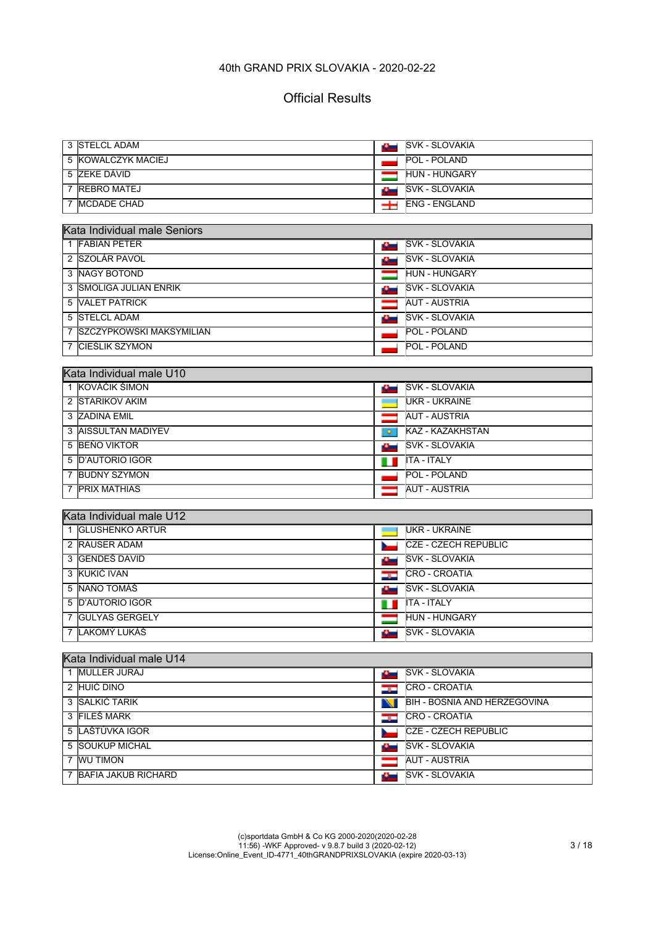#### Official Results

| 3 ISTELCL ADAM      | <b>ISVK - SLOVAKIA</b> |
|---------------------|------------------------|
| 5 KOWALCZYK MACIEJ  | <b>IPOL - POLAND</b>   |
| 5 ZEKE DÁVID        | <b>HUN - HUNGARY</b>   |
| <b>IREBRO MATEJ</b> | <b>ISVK - SLOVAKIA</b> |
| 7 IMCDADE CHAD      | <b>IENG - ENGLAND</b>  |

#### Kata Individual male Seniors

| <b>FABIAN PETER</b>         |       | <b>ISVK - SLOVAKIA</b> |
|-----------------------------|-------|------------------------|
| 2 SZOLÁR PAVOL              |       | <b>SVK - SLOVAKIA</b>  |
| 3 INAGY BOTOND              |       | <b>HUN - HUNGARY</b>   |
| 3 ISMOLIGA JULIAN ENRIK     |       | <b>SVK - SLOVAKIA</b>  |
| 5 NALET PATRICK             |       | <b>AUT - AUSTRIA</b>   |
| 5 STELCL ADAM               | a bir | <b>SVK - SLOVAKIA</b>  |
| 7 ISZCZYPKOWSKI MAKSYMILIAN |       | <b>POL - POLAND</b>    |
| 7 ICIEŠLIK SZYMON           |       | <b>POL - POLAND</b>    |
|                             |       |                        |

#### Kata Individual male U10

| <u>1 IKOVÁČIK ŠIMON</u> |      | <b>ISVK - SLOVAKIA</b>   |
|-------------------------|------|--------------------------|
| 2 STARIKOV AKIM         |      | <b>UKR - UKRAINE</b>     |
| 3 ZADINA EMIL           |      | <b>AUT - AUSTRIA</b>     |
| 3 AISSULTAN MADIYEV     | o,   | <b>IKAZ - KAZAKHSTAN</b> |
| 5 BENO VIKTOR           | سائل | <b>SVK - SLOVAKIA</b>    |
| 5 D'AUTORIO IGOR        |      | <b>ITA - ITALY</b>       |
| 7 BUDNY SZYMON          |      | <b>POL - POLAND</b>      |
| 7 PRIX MATHIAS          |      | <b>AUT - AUSTRIA</b>     |

#### Kata Individual male U12

| 1 <b>IGLUSHENKO ARTUR</b> |      | <b>IUKR - UKRAINE</b> |
|---------------------------|------|-----------------------|
| 2 RAUSER ADAM             |      | ICZE - CZECH REPUBLIC |
| 3 GENDEŠ DAVID            | سائك | <b>SVK - SLOVAKIA</b> |
| 3 KUKIĆ IVAN              | درو  | ICRO - CROATIA        |
| 5 NANO TOMÁŠ              | o.   | <b>SVK - SLOVAKIA</b> |
| 5 D'AUTORIO IGOR          |      | <b>ITA - ITALY</b>    |
| 7 IGULYAS GERGELY         |      | <b>HUN - HUNGARY</b>  |
| 7 LAKOMÝ LUKÁŠ            | سائك | <b>SVK - SLOVAKIA</b> |

#### Kata Individual male U14

| 1 <b>IMULLER JURAJ</b> |     | <b>ISVK - SLOVAKIA</b>              |
|------------------------|-----|-------------------------------------|
| 2 HUIĆ DINO            |     | ICRO - CROATIA                      |
| 3 SALKIĆ TARIK         |     | <b>BIH - BOSNIA AND HERZEGOVINA</b> |
| 3 FILEŠ MARK           | -ga | ICRO - CROATIA                      |
| 5 LAŠTŮVKA IGOR        |     | ICZE - CZECH REPUBLIC               |
| 5 SOUKUP MICHAL        | 41  | <b>SVK - SLOVAKIA</b>               |
| 7 MU TIMON             |     | <b>AUT - AUSTRIA</b>                |
| 7 BAFIA JAKUB RICHARD  |     | <b>SVK - SLOVAKIA</b>               |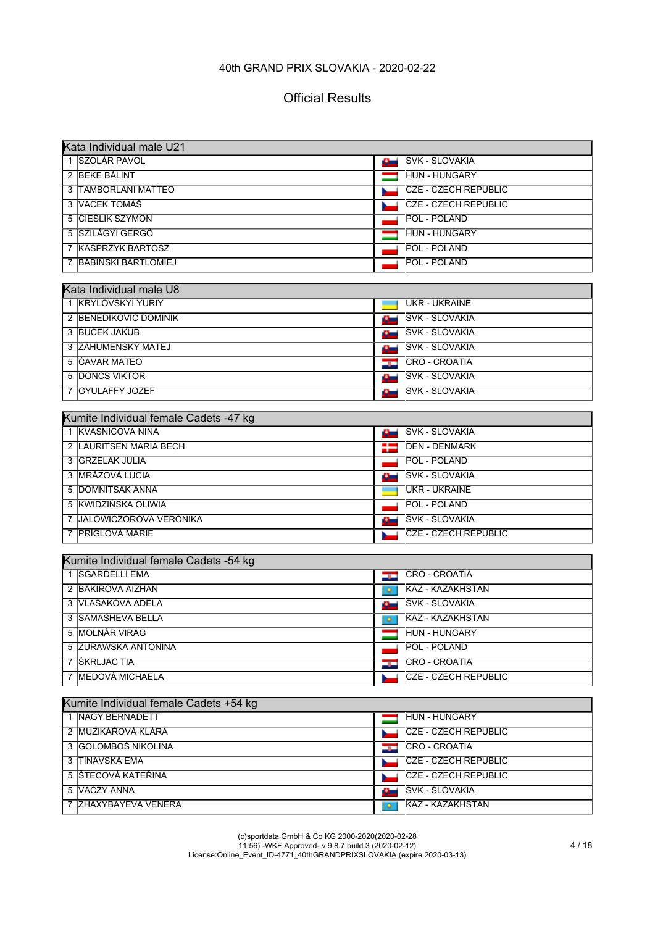## Official Results

| Kata Individual male U21                                    |                      |                             |  |
|-------------------------------------------------------------|----------------------|-----------------------------|--|
| 1 SZOLÁR PAVOL                                              | ست                   | <b>SVK - SLOVAKIA</b>       |  |
| 2 BEKE BÁLINT                                               |                      | HUN - HUNGARY               |  |
| 3 TAMBORLANI MATTEO                                         |                      | CZE - CZECH REPUBLIC        |  |
| 3 VACEK TOMÁŠ                                               |                      | <b>CZE - CZECH REPUBLIC</b> |  |
| 5 CIEŚLIK SZYMON                                            |                      | <b>POL - POLAND</b>         |  |
| 5 SZILÁGYI GERGŐ                                            |                      | <b>HUN - HUNGARY</b>        |  |
| 7 KASPRZYK BARTOSZ                                          |                      | POL - POLAND                |  |
| 7 BABINSKI BARTLOMIEJ                                       |                      | <b>POL - POLAND</b>         |  |
|                                                             |                      |                             |  |
| Kata Individual male U8                                     |                      |                             |  |
| 1 KRYLOVSKYI YURIY                                          |                      | <b>UKR - UKRAINE</b>        |  |
| 2 BENEDIKOVIČ DOMINIK                                       | سائك                 | <b>SVK - SLOVAKIA</b>       |  |
| 3 BUČEK JAKUB                                               | سائك                 | SVK - SLOVAKIA              |  |
| 3 ZÁHUMENSKÝ MATEJ                                          | ست                   | <b>SVK - SLOVAKIA</b>       |  |
| 5 CAVAR MATEO                                               | در                   | <b>CRO - CROATIA</b>        |  |
| 5 DONCS VIKTOR                                              | نسائل                | <b>SVK - SLOVAKIA</b>       |  |
| 7 GYULAFFY JOZEF                                            | 4                    | <b>SVK - SLOVAKIA</b>       |  |
|                                                             |                      |                             |  |
| Kumite Individual female Cadets -47 kg<br>1 KVASNICOVA NINA |                      | <b>SVK - SLOVAKIA</b>       |  |
| 2 LAURITSEN MARIA BECH                                      | سائك                 | <b>DEN - DENMARK</b>        |  |
|                                                             | ₩                    |                             |  |
| 3 GRZELAK JULIA                                             |                      | POL - POLAND                |  |
| 3 IMRÁZOVÁ LUCIA                                            | ست                   | <b>SVK - SLOVAKIA</b>       |  |
| 5 DOMNITSAK ANNA                                            |                      | <b>UKR - UKRAINE</b>        |  |
| 5 KWIDZIŃSKA OLIWIA                                         |                      | POL - POLAND                |  |
| 7 JALOWICZOROVÁ VERONIKA                                    | ست                   | <b>SVK - SLOVAKIA</b>       |  |
| 7 PRÍGLOVÁ MARIE                                            |                      | <b>CZE - CZECH REPUBLIC</b> |  |
| Kumite Individual female Cadets -54 kg                      |                      |                             |  |
| 1 SGARDELLI EMA                                             | دود                  | <b>CRO - CROATIA</b>        |  |
| 2 BAKIROVA AIZHAN                                           | $\ddot{\mathcal{Q}}$ | <b>KAZ - KAZAKHSTAN</b>     |  |
| 3 VLASÁKOVÁ ADELA                                           | سائل                 | <b>SVK - SLOVAKIA</b>       |  |
| 3 SAMASHEVA BELLA                                           | $\mathcal{Q}_\ell$   | <b>KAZ - KAZAKHSTAN</b>     |  |
| 5 MOLNÁR VIRÁG                                              |                      | HUN - HUNGARY               |  |
| 5 ŻURAWSKA ANTONINA                                         |                      | POL - POLAND                |  |
| 7 ŠKRLJAC TIA                                               |                      | CRO - CROATIA               |  |
| 7 MEDOVÁ MICHAELA                                           | سود                  | CZE - CZECH REPUBLIC        |  |
|                                                             |                      |                             |  |
| Kumite Individual female Cadets +54 kg                      |                      |                             |  |
| 1 NAGY BERNADETT                                            |                      | <b>HUN - HUNGARY</b>        |  |
| 2 MUZIKÁŘOVÁ KLÁRA                                          |                      | <b>CZE - CZECH REPUBLIC</b> |  |
| 3 GOLOMBOŠ NIKOLINA                                         | صوص                  | <b>CRO - CROATIA</b>        |  |
| 3 TINAVSKÁ EMA                                              |                      | <b>CZE - CZECH REPUBLIC</b> |  |
| 5 STECOVÁ KATEŘINA                                          |                      | <b>CZE - CZECH REPUBLIC</b> |  |
| 5 VÁCZY ANNA                                                | ست                   | <b>SVK - SLOVAKIA</b>       |  |
| 7 ZHAXYBAYEVA VENERA                                        | O.                   | KAZ - KAZAKHSTAN            |  |
|                                                             |                      |                             |  |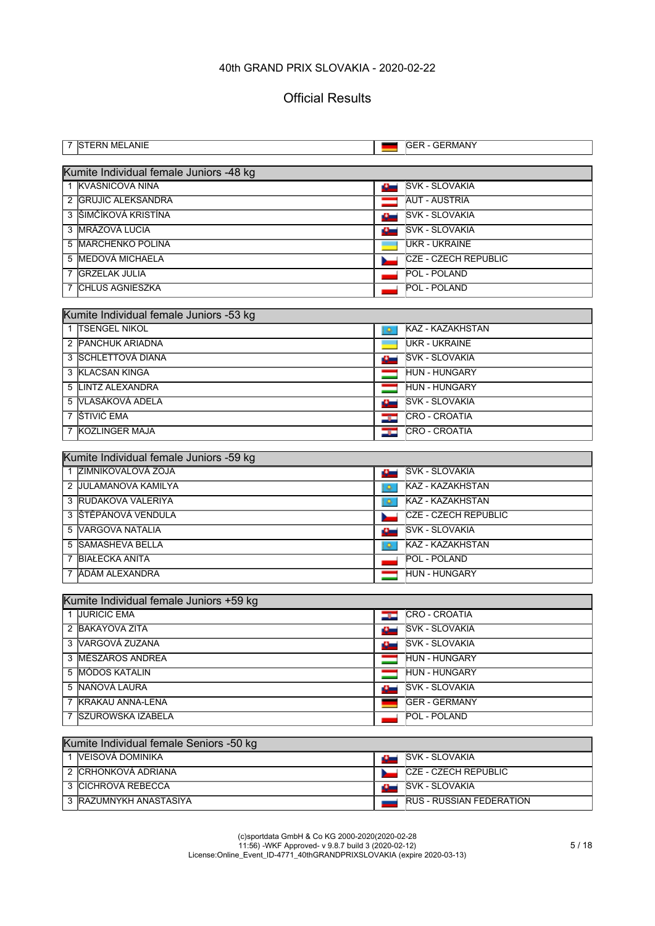| 7 STERN MELANIE                         |                          | <b>IGER - GERMANY</b>           |
|-----------------------------------------|--------------------------|---------------------------------|
|                                         |                          |                                 |
| Kumite Individual female Juniors -48 kg |                          |                                 |
| 1 KVASNICOVA NINA                       | سائل                     | <b>SVK - SLOVAKIA</b>           |
| 2 GRUJIC ALEKSANDRA                     |                          | <b>AUT - AUSTRIA</b>            |
| 3 SIMČÍKOVÁ KRISTÍNA                    | ست                       | SVK - SLOVAKIA                  |
| 3 MRÁZOVÁ LUCIA                         |                          | SVK - SLOVAKIA                  |
| 5 MARCHENKO POLINA                      |                          | <b>UKR - UKRAINE</b>            |
| 5 MEDOVÁ MICHAELA                       |                          | CZE - CZECH REPUBLIC            |
| 7 GRZELAK JULIA                         |                          | POL - POLAND                    |
| 7 CHLUS AGNIESZKA                       |                          | <b>POL - POLAND</b>             |
|                                         |                          |                                 |
| Kumite Individual female Juniors -53 kg |                          |                                 |
| 1 TSENGEL NIKOL                         | l ori                    | KAZ - KAZAKHSTAN                |
| 2 PANCHUK ARIADNA                       | <b>Contract Contract</b> | <b>UKR - UKRAINE</b>            |
| 3 SCHLETTOVÁ DIANA                      | سائك                     | <b>SVK - SLOVAKIA</b>           |
| 3 KLACSAN KINGA                         |                          | HUN - HUNGARY                   |
| 5 LINTZ ALEXANDRA                       |                          | HUN - HUNGARY                   |
| 5 VLASÁKOVÁ ADELA                       | 52.30                    | <b>SVK - SLOVAKIA</b>           |
| 7 STIVIĆ EMA                            | دود                      | CRO - CROATIA                   |
| 7 KOZLINGER MAJA                        | در                       | CRO - CROATIA                   |
|                                         |                          |                                 |
| Kumite Individual female Juniors -59 kg |                          |                                 |
| 1 ZIMNIKOVALOVÁ ZOJA                    | A –                      | <b>SVK - SLOVAKIA</b>           |
| 2 JULAMANOVA KAMILYA                    | $\bullet$                | KAZ - KAZAKHSTAN                |
| 3 RUDAKOVA VALERIYA                     | $\circ$                  | KAZ - KAZAKHSTAN                |
| 3 STÉPÁNOVÁ VENDULA                     |                          | CZE - CZECH REPUBLIC            |
| 5 VARGOVA NATALIA                       | ست                       | <b>SVK - SLOVAKIA</b>           |
| 5 SAMASHEVA BELLA                       | $\circ$                  | KAZ - KAZAKHSTAN                |
| 7 BIAŁECKA ANITA                        |                          | POL - POLAND                    |
| 7 ÁDÁM ALEXANDRA                        |                          | <b>HUN - HUNGARY</b>            |
|                                         |                          |                                 |
| Kumite Individual female Juniors +59 kg |                          |                                 |
| 1 JURICIC EMA                           | H                        | CRO - CROATIA                   |
| 2 BAKAYOVA ZITA                         |                          | <b>B</b> SVK - SLOVAKIA         |
| 3 VARGOVÁ ZUZANA                        | سائك                     | <b>SVK - SLOVAKIA</b>           |
| 3 MÉSZÁROS ANDREA                       |                          | HUN - HUNGARY                   |
| 5 MÓDOS KATALIN                         |                          | <b>HUN - HUNGARY</b>            |
| 5 NAŇOVÁ LAURA                          | ست                       | <b>SVK - SLOVAKIA</b>           |
| 7 KRAKAU ANNA-LENA                      |                          | <b>GER - GERMANY</b>            |
| 7 SZUROWSKA IZABELA                     |                          | POL - POLAND                    |
|                                         |                          |                                 |
| Kumite Individual female Seniors -50 kg |                          |                                 |
| 1 VEISOVÁ DOMINIKA                      | نسائك                    | SVK - SLOVAKIA                  |
| 2 CRHONKOVÁ ADRIANA                     |                          | <b>CZE - CZECH REPUBLIC</b>     |
| 3 CICHROVÁ REBECCA                      | سائك                     | <b>SVK - SLOVAKIA</b>           |
| 3 RAZUMNYKH ANASTASIYA                  |                          | <b>RUS - RUSSIAN FEDERATION</b> |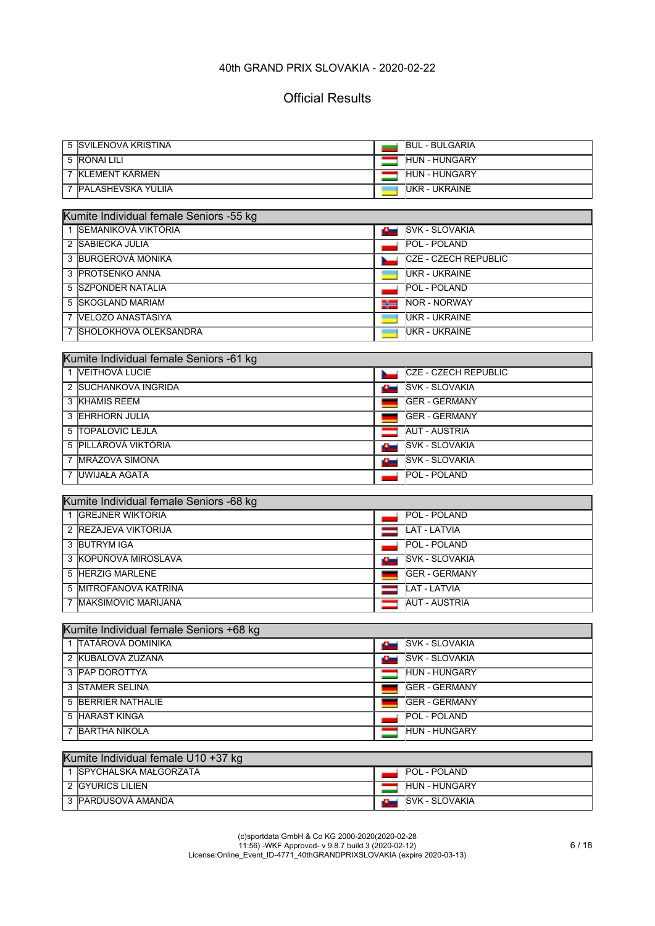#### Official Results

|  | 5 ISVILENOVA KRISTINA | <b>BUL - BULGARIA</b> |
|--|-----------------------|-----------------------|
|  | 5 RÓNAI LILI          | <b>HUN - HUNGARY</b>  |
|  | KLEMENT KARMEN        | <b>HUN - HUNGARY</b>  |
|  | IPALASHEVSKA YULIIA   | <b>IUKR - UKRAINE</b> |

| Kumite Individual female Seniors -55 kg |                                                                                                                                                                                      |                              |  |
|-----------------------------------------|--------------------------------------------------------------------------------------------------------------------------------------------------------------------------------------|------------------------------|--|
|                                         |                                                                                                                                                                                      | <b>SVK - SLOVAKIA</b>        |  |
|                                         |                                                                                                                                                                                      | <b>POL - POLAND</b>          |  |
|                                         |                                                                                                                                                                                      | <b>ICZE - CZECH REPUBLIC</b> |  |
|                                         |                                                                                                                                                                                      | IUKR - UKRAINE               |  |
|                                         |                                                                                                                                                                                      | <b>IPOL - POLAND</b>         |  |
|                                         | ₩                                                                                                                                                                                    | <b>INOR - NORWAY</b>         |  |
|                                         |                                                                                                                                                                                      | IUKR - UKRAINE               |  |
|                                         |                                                                                                                                                                                      | IUKR - UKRAINE               |  |
|                                         | 1 SEMANIKOVÁ VIKTÓRIA<br>2 ISABIECKA JULIA<br>3 BURGEROVÁ MONIKA<br>3 PROTSENKO ANNA<br>5 ISZPONDER NATALIA<br>5 ISKOGLAND MARIAM<br>7 NELOZO ANASTASIYA<br>7 ISHOLOKHOVA OLEKSANDRA |                              |  |

| Kumite Individual female Seniors -61 kg |                      |  |                       |
|-----------------------------------------|----------------------|--|-----------------------|
|                                         | 1 VEITHOVÁ LUCIE     |  | ICZE - CZECH REPUBLIC |
|                                         | 2 SUCHANKOVA INGRIDA |  | <b>SVK - SLOVAKIA</b> |
|                                         | 3 KHAMIS REEM        |  | <b>IGER - GERMANY</b> |
|                                         | 3 EHRHORN JULIA      |  | <b>IGER - GERMANY</b> |
|                                         | 5 TOPALOVIC LEJLA    |  | <b>AUT - AUSTRIA</b>  |
|                                         | 5 PILLÁROVÁ VIKTÓRIA |  | <b>SVK - SLOVAKIA</b> |
|                                         | 7 IMRÁZOVÁ SIMONA    |  | <b>SVK - SLOVAKIA</b> |
|                                         | 7 IUWIJAŁA AGATA     |  | <b>POL - POLAND</b>   |

| Kumite Individual female Seniors -68 kg |                          |  |                       |
|-----------------------------------------|--------------------------|--|-----------------------|
|                                         | 1 GREJNER WIKTORIA       |  | <b>POL - POLAND</b>   |
|                                         | 2 REZAJEVA VIKTORIJA     |  | LAT - LATVIA          |
|                                         | 3 BUTRYM IGA             |  | <b>POL - POLAND</b>   |
|                                         | 3 KOPÚŇOVÁ MIROSLAVA     |  | <b>SVK - SLOVAKIA</b> |
|                                         | 5 <b>IHERZIG MARLENE</b> |  | <b>IGER - GERMANY</b> |
|                                         | 5 MITROFANOVA KATRINA    |  | LAT - LATVIA          |
|                                         | 7 IMAKSIMOVIC MARIJANA   |  | <b>AUT - AUSTRIA</b>  |

| Kumite Individual female Seniors +68 kg |    |                       |  |  |
|-----------------------------------------|----|-----------------------|--|--|
| 1 ITATÁROVÁ DOMINIKA                    | o. | <b>SVK - SLOVAKIA</b> |  |  |
| 2 KUBALOVÁ ZUZANA                       | 41 | <b>SVK - SLOVAKIA</b> |  |  |
| 3 IPAP DOROTTYA                         |    | <b>HUN - HUNGARY</b>  |  |  |
| 3 STAMER SELINA                         |    | <b>IGER - GERMANY</b> |  |  |
| 5 BERRIER NATHALIE                      |    | <b>IGER - GERMANY</b> |  |  |
| 5 HARAST KINGA                          |    | <b>IPOL - POLAND</b>  |  |  |
| 7 BARTHA NIKOLA                         |    | <b>HUN - HUNGARY</b>  |  |  |

# Kumite Individual female U10 +37 kg 1 SPYCHALSKA MAŁGORZATA POLAND POL - POLAND 2 GYURICS LILIEN HUNGARY 3 PARDUSOVÁ AMANDA SVK - SLOVAKIA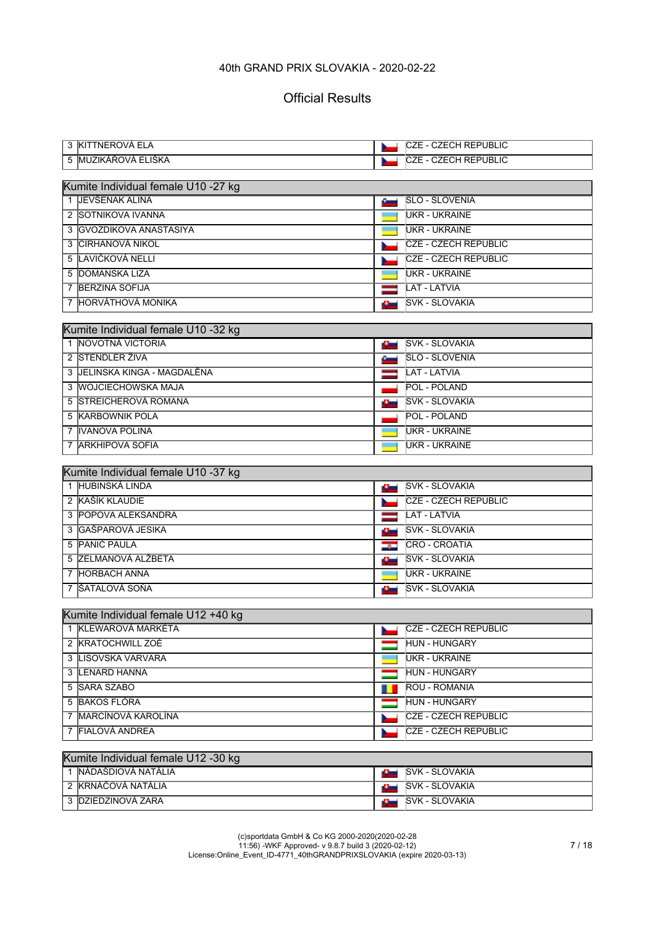## Official Results

| 3 KITTNEROVÁ ELA                                           |            | <b>CZE - CZECH REPUBLIC</b>                    |  |  |
|------------------------------------------------------------|------------|------------------------------------------------|--|--|
| 5 MUZIKÁŘOVÁ ELIŠKA                                        |            | CZE - CZECH REPUBLIC                           |  |  |
|                                                            |            |                                                |  |  |
| Kumite Individual female U10 -27 kg                        |            |                                                |  |  |
| 1 JEVŠENAK ALINA                                           | فست        | <b>SLO - SLOVENIA</b>                          |  |  |
| 2 SOTNIKOVA IVANNA                                         |            | <b>UKR - UKRAINE</b>                           |  |  |
| 3 GVOZDIKOVA ANASTASIYA                                    |            | <b>UKR - UKRAINE</b>                           |  |  |
| 3 ICIRHANOVÁ NIKOL                                         |            | CZE - CZECH REPUBLIC                           |  |  |
| 5 LAVIČKOVÁ NELLI                                          |            | CZE - CZECH REPUBLIC                           |  |  |
| 5 DOMANSKA LIZA                                            |            | <b>UKR - UKRAINE</b>                           |  |  |
| 7 BERZINA SOFIJA                                           |            | LAT - LATVIA                                   |  |  |
| 7 HORVÁTHOVÁ MONIKA                                        | ست         | <b>SVK - SLOVAKIA</b>                          |  |  |
|                                                            |            |                                                |  |  |
| Kumite Individual female U10 -32 kg                        |            |                                                |  |  |
| 1 NOVOTNÁ VICTORIA                                         | سائل       | <b>SVK - SLOVAKIA</b>                          |  |  |
| 2 STENDLER ŽIVA                                            | General Co | <b>SLO - SLOVENIA</b>                          |  |  |
| 3 JELINSKA KINGA - MAGDALĒNA                               |            | LAT - LATVIA                                   |  |  |
| 3 WOJCIECHOWSKA MAJA                                       |            | POL - POLAND                                   |  |  |
| 5 STREICHEROVÁ ROMANA                                      | سائل       | <b>SVK - SLOVAKIA</b>                          |  |  |
| <b>5 KARBOWNIK POLA</b>                                    |            | <b>POL - POLAND</b>                            |  |  |
| 7 <b>IVANOVA POLINA</b>                                    |            | <b>UKR - UKRAINE</b>                           |  |  |
| 7 ARKHIPOVA SOFIA                                          |            | <b>UKR - UKRAINE</b>                           |  |  |
|                                                            |            |                                                |  |  |
|                                                            |            |                                                |  |  |
| Kumite Individual female U10 -37 kg                        |            |                                                |  |  |
| 1 HUBINSKÁ LINDA                                           | سائل       | SVK - SLOVAKIA                                 |  |  |
| 2 KAŠÍK KLAUDIE                                            |            | <b>CZE - CZECH REPUBLIC</b>                    |  |  |
| 3 POPOVA ALEKSANDRA                                        |            | <b>LAT - LATVIA</b>                            |  |  |
| 3 GAŠPAROVÁ JESIKA                                         | ست         | SVK - SLOVAKIA                                 |  |  |
| 5 PANIĆ PAULA                                              | 33         | CRO - CROATIA                                  |  |  |
| 5 ZELMANOVÁ ALŽBETA                                        | نسائك      | SVK - SLOVAKIA                                 |  |  |
| 7 HORBACH ANNA                                             |            | <b>UKR - UKRAINE</b>                           |  |  |
| 7 SATALOVÁ SOŇA                                            | سائك       | <b>SVK - SLOVAKIA</b>                          |  |  |
|                                                            |            |                                                |  |  |
| Kumite Individual female U12 +40 kg<br>1 KLEWAROVÁ MARKÉTA |            | CZE - CZECH REPUBLIC                           |  |  |
| 2 KRATOCHWILL ZOÉ                                          |            | <b>HUN - HUNGARY</b>                           |  |  |
| 3 LISOVSKA VARVARA                                         |            | <b>UKR - UKRAINE</b>                           |  |  |
| 3 LENARD HANNA                                             |            | <b>HUN - HUNGARY</b>                           |  |  |
| 5 SARA SZABO                                               |            | <b>ROU - ROMANIA</b>                           |  |  |
| 5 BAKOS FLÓRA                                              |            | <b>HUN - HUNGARY</b>                           |  |  |
| 7 MARCÍNOVÁ KAROLÍNA                                       |            | CZE - CZECH REPUBLIC                           |  |  |
| 7 FIALOVÁ ANDREA                                           |            | <b>CZE - CZECH REPUBLIC</b>                    |  |  |
|                                                            |            |                                                |  |  |
| Kumite Individual female U12 -30 kg                        |            |                                                |  |  |
| <u>1  NÁDAŠDIOVÁ NATÁLIA</u>                               | سائك       | <b>SVK - SLOVAKIA</b>                          |  |  |
| 2 KRNÁČOVÁ NATÁLIA<br>3 DZIEDZINOVÁ ZARA                   | سائك       | <b>SVK - SLOVAKIA</b><br><b>SVK - SLOVAKIA</b> |  |  |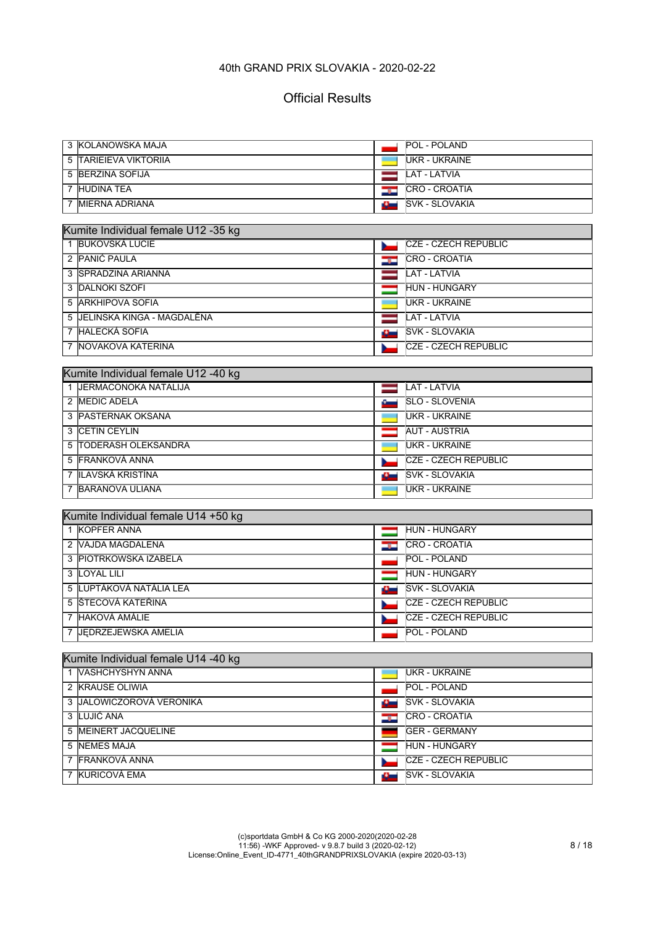#### Official Results

| 3 IKOLANOWSKA MAJA    |   | <b>IPOL - POLAND</b>  |
|-----------------------|---|-----------------------|
| 5 TARIEIEVA VIKTORIIA |   | <b>IUKR - UKRAINE</b> |
| 5 BERZINA SOFIJA      |   | LAT - LATVIA          |
| IHUDINA TEA           | œ | ICRO - CROATIA        |
| IMIERNA ADRIANA       |   | ISVK - SLOVAKIA       |

#### Kumite Individual female U12 -35 kg

| 1 BUKOVSKÁ LUCIE              |    | <b>CZE - CZECH REPUBLIC</b> |  |  |
|-------------------------------|----|-----------------------------|--|--|
| 2 PANIĆ PAULA                 | 33 | ICRO - CROATIA              |  |  |
| 3 SPRADZINA ARIANNA           |    | <b>LAT - LATVIA</b>         |  |  |
| 3 DALNOKI SZOFI               |    | <b>HUN - HUNGARY</b>        |  |  |
| 5 ARKHIPOVA SOFIA             |    | <b>IUKR - UKRAINE</b>       |  |  |
| 5 LIELINSKA KINGA - MAGDALĒNA |    | LAT - LATVIA                |  |  |
| 7 HALECKÁ SOFIA               |    | <b>SVK - SLOVAKIA</b>       |  |  |
| <b>INOVAKOVA KATERINA</b>     |    | ICZE - CZECH REPUBLIC       |  |  |
|                               |    |                             |  |  |

#### Kumite Individual female U12 -40 kg

| 1 UERMACONOKA NATALIJA |    | LAT - LATVIA          |  |  |
|------------------------|----|-----------------------|--|--|
| 2 <b>IMEDIC ADELA</b>  |    | <b>SLO - SLOVENIA</b> |  |  |
| 3 PASTERNAK OKSANA     |    | <b>IUKR - UKRAINE</b> |  |  |
| 3 ICETIN CEYLIN        |    | <b>AUT - AUSTRIA</b>  |  |  |
| 5 TODERASH OLEKSANDRA  |    | <b>IUKR - UKRAINE</b> |  |  |
| 5 FRANKOVÁ ANNA        |    | ICZE - CZECH REPUBLIC |  |  |
| 7 ILAVSKÁ KRISTÍNA     | ست | <b>SVK - SLOVAKIA</b> |  |  |
| 7 BARANOVA ULIANA      |    | <b>IUKR - UKRAINE</b> |  |  |

#### Kumite Individual female U14 +50 kg

| 1 KOPFER ANNA              |     | <b>HUN - HUNGARY</b>        |
|----------------------------|-----|-----------------------------|
| 2 VAJDA MAGDALENA          | درد | ICRO - CROATIA              |
| 3 PIOTRKOWSKA IZABELA      |     | <b>POL - POLAND</b>         |
| 3 LOYAL LILI               |     | <b>HUN - HUNGARY</b>        |
| 5 LUPTÁKOVÁ NATÁLIA LEA    |     | <b>SVK - SLOVAKIA</b>       |
| 5 IŠTECOVÁ KATEŘINA        |     | ICZE - CZECH REPUBLIC       |
| 7 HAKOVÁ AMÁLIE            |     | <b>CZE - CZECH REPUBLIC</b> |
| <b>JEDRZEJEWSKA AMELIA</b> |     | <b>POL - POLAND</b>         |

#### Kumite Individual female U14 -40 kg 1 VASHCHYSHYN ANNA UKRAINE NA UKRAINE NA UKRAINE NA UKRAINE NA UKRAINE NA UKRAINE 2 KRAUSE OLIWIA POLAND 3 JALOWICZOROVÁ VERONIKA SVK - SLOVAKIA 3 LUJIĆ ANA CRO - CROATIA 5 MEINERT JACQUELINE GER - GERMANY 5 NEMES MAJA 7 FRANKOVÁ ANNA CZE - CZECH REPUBLIC 7 KURICOVÁ EMA SVK - SLOVAKIA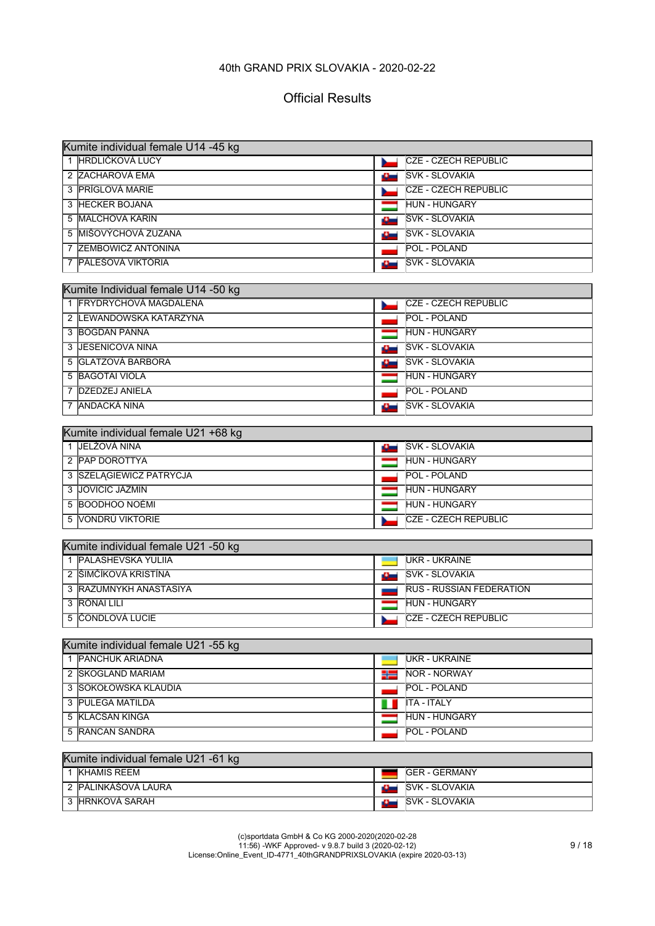| Kumite individual female U14 -45 kg |                                                          |                                   |                                      |  |
|-------------------------------------|----------------------------------------------------------|-----------------------------------|--------------------------------------|--|
|                                     | 1 HRDLIČKOVÁ LUCY                                        |                                   | <b>CZE - CZECH REPUBLIC</b>          |  |
|                                     | 2 ZACHAROVÁ EMA                                          | سائل                              | <b>SVK - SLOVAKIA</b>                |  |
|                                     | 3 PRÍGLOVÁ MARIE                                         |                                   | <b>CZE - CZECH REPUBLIC</b>          |  |
|                                     | 3 HECKER BOJANA                                          |                                   | HUN - HUNGARY                        |  |
|                                     | 5 MALCHOVA KARIN                                         |                                   | <b>SVK - SLOVAKIA</b>                |  |
|                                     | 5 MIŠOVÝCHOVÁ ZUZANA                                     |                                   | <b>SVK - SLOVAKIA</b>                |  |
|                                     | 7 ZEMBOWICZ ANTONINA                                     |                                   | POL - POLAND                         |  |
|                                     | 7 PÁLEŠOVÁ VIKTÓRIA                                      | سائك                              | <b>SVK - SLOVAKIA</b>                |  |
|                                     |                                                          |                                   |                                      |  |
|                                     | Kumite Individual female U14 -50 kg                      |                                   |                                      |  |
|                                     | 1 <b>IFRYDRYCHOVÁ MAGDALENA</b>                          |                                   | <b>CZE - CZECH REPUBLIC</b>          |  |
|                                     | 2 LEWANDOWSKA KATARZYNA                                  |                                   | <b>POL - POLAND</b>                  |  |
|                                     | 3 BOGDAN PANNA                                           |                                   | HUN - HUNGARY                        |  |
|                                     | 3 JESENICOVA NINA                                        | 42 -                              | <b>SVK - SLOVAKIA</b>                |  |
|                                     | 5 GLATZOVÁ BARBORA                                       | 43 -                              | <b>SVK - SLOVAKIA</b>                |  |
|                                     | 5 BAGOTAI VIOLA                                          |                                   | HUN - HUNGARY                        |  |
|                                     | 7 DZEDZEJ ANIELA                                         |                                   | POL - POLAND                         |  |
|                                     | 7 JANDACKÁ NINA                                          | ست                                | <b>SVK - SLOVAKIA</b>                |  |
|                                     |                                                          |                                   |                                      |  |
|                                     | Kumite individual female U21 +68 kg                      |                                   |                                      |  |
|                                     | 1 JELŽOVÁ NINA                                           | سائك                              | <b>SVK - SLOVAKIA</b>                |  |
|                                     | 2 PAP DOROTTYA                                           |                                   | <b>HUN - HUNGARY</b>                 |  |
|                                     | 3 SZELĄGIEWICZ PATRYCJA                                  |                                   | POL - POLAND                         |  |
|                                     | 3 JOVICIC JÁZMIN                                         |                                   | HUN - HUNGARY                        |  |
|                                     | 5 BOODHOO NOÉMI                                          |                                   | HUN - HUNGARY                        |  |
|                                     | 5 VONDRŮ VIKTORIE                                        |                                   | CZE - CZECH REPUBLIC                 |  |
|                                     |                                                          |                                   |                                      |  |
|                                     | Kumite individual female U21 -50 kg                      |                                   |                                      |  |
|                                     | 1   PALASHEVSKA YULIIA                                   | <b>Contract Contract Contract</b> | <b>UKR - UKRAINE</b>                 |  |
|                                     | 2 SIMČÍKOVÁ KRISTÍNA                                     | سائل                              | <b>SVK - SLOVAKIA</b>                |  |
|                                     | 3 RAZUMNYKH ANASTASIYA                                   |                                   | <b>RUS - RUSSIAN FEDERATION</b>      |  |
|                                     | 3 RÓNAI LILI                                             |                                   | HUN - HUNGARY                        |  |
|                                     | 5 CONDLOVÁ LUCIE                                         |                                   | <b>CZE - CZECH REPUBLIC</b>          |  |
|                                     |                                                          |                                   |                                      |  |
|                                     | Kumite individual female U21 -55 kg<br>1 PANCHUK ARIADNA |                                   |                                      |  |
|                                     | 2 SKOGLAND MARIAM                                        |                                   | <b>UKR - UKRAINE</b><br>NOR - NORWAY |  |
|                                     |                                                          | ∺=                                |                                      |  |
|                                     | 3 SOKOŁOWSKA KLAUDIA                                     |                                   | POL - POLAND                         |  |
|                                     | 3 PULEGA MATILDA                                         |                                   | <b>ITA - ITALY</b>                   |  |
|                                     | 5 KLACSAN KINGA                                          |                                   | <b>HUN - HUNGARY</b>                 |  |
|                                     | 5 RANCAN SANDRA                                          |                                   | POL - POLAND                         |  |
|                                     | Kumite individual female U21 -61 kg                      |                                   |                                      |  |
|                                     | 1 KHAMIS REEM                                            |                                   | <b>GER - GERMANY</b>                 |  |
|                                     | 2 PÁLINKÁŠOVÁ LAURA                                      |                                   | <b>SVK - SLOVAKIA</b>                |  |
|                                     | 3 HRNKOVÁ SARAH                                          |                                   | <b>SVK - SLOVAKIA</b>                |  |
|                                     |                                                          |                                   |                                      |  |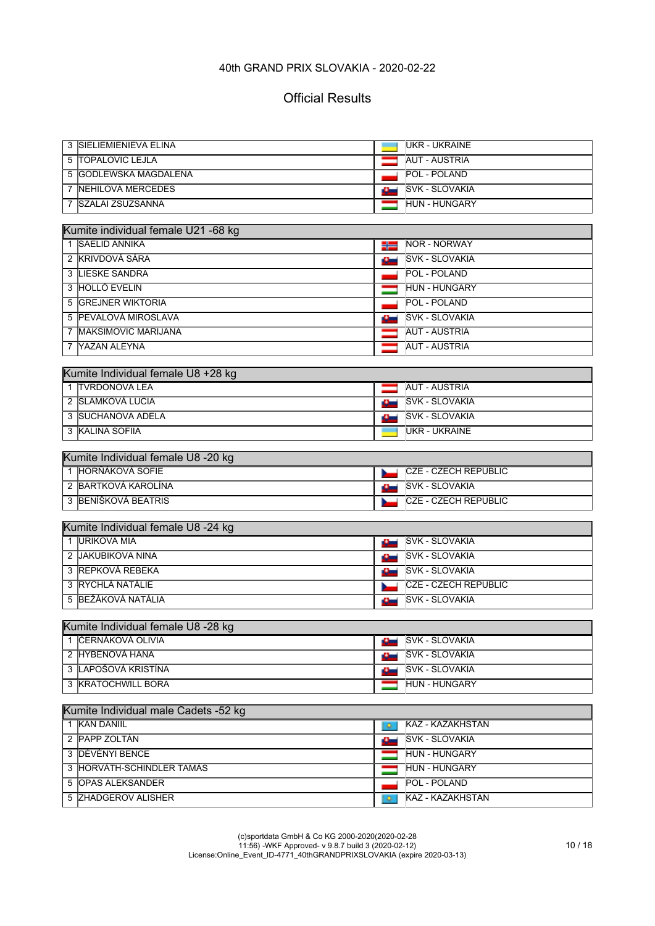| 3 SIELIEMIENIEVA ELINA               | <b>UKR - UKRAINE</b><br>سم    |                             |
|--------------------------------------|-------------------------------|-----------------------------|
| <b>5 TOPALOVIC LEJLA</b>             | <b>AUT - AUSTRIA</b>          |                             |
| 5 GODLEWSKA MAGDALENA                | POL - POLAND                  |                             |
| 7 NEHILOVÁ MERCEDES                  | <b>SVK - SLOVAKIA</b><br>41-1 |                             |
| 7 SZALAI ZSUZSANNA                   | HUN - HUNGARY                 |                             |
|                                      |                               |                             |
| Kumite individual female U21 -68 kg  |                               |                             |
| 1 SAELID ANNIKA                      | NOR - NORWAY<br>╬             |                             |
| 2 KRIVDOVÁ SÁRA                      | SVK - SLOVAKIA<br>ست          |                             |
| 3 LIESKE SANDRA                      | POL - POLAND                  |                             |
| 3 HOLLÓ EVELIN                       | HUN - HUNGARY                 |                             |
| 5 GREJNER WIKTORIA                   | POL - POLAND                  |                             |
| 5 PEVALOVÁ MIROSLAVA                 | <b>SVK - SLOVAKIA</b><br>سائل |                             |
| 7 MAKSIMOVIC MARIJANA                | <b>AUT - AUSTRIA</b>          |                             |
| 7 YAZAN ALEYNA                       | <b>AUT - AUSTRIA</b>          |                             |
|                                      |                               |                             |
| Kumite Individual female U8 +28 kg   |                               |                             |
| 1 TVRDONOVA LEA                      | <b>AUT - AUSTRIA</b>          |                             |
| 2 SLAMKOVÁ LUCIA                     | SVK - SLOVAKIA<br>سائل        |                             |
| 3 SUCHANOVA ADELA                    | <b>SVK - SLOVAKIA</b>         |                             |
| 3 KALINA SOFIIA                      | <b>UKR - UKRAINE</b>          |                             |
|                                      |                               |                             |
| Kumite Individual female U8 -20 kg   |                               |                             |
| 1 HORŇÁKOVÁ SOFIE                    |                               | <b>CZE - CZECH REPUBLIC</b> |
| 2 BARTKOVÁ KAROLÍNA                  | SVK - SLOVAKIA<br>سائك        |                             |
| 3 BENÍŠKOVÁ BEATRIS                  |                               | CZE - CZECH REPUBLIC        |
| Kumite Individual female U8 -24 kg   |                               |                             |
| 1 URIKOVA MIA                        | <b>SVK - SLOVAKIA</b><br>ست   |                             |
| 2 JAKUBIKOVA NINA                    | <b>SVK - SLOVAKIA</b><br>سائك |                             |
| 3 REPKOVÁ REBEKA                     | SVK - SLOVAKIA<br>ست          |                             |
| 3 RYCHLÁ NATÁLIE                     |                               | CZE - CZECH REPUBLIC        |
| 5 BEŽÁKOVÁ NATÁLIA                   | <b>SVK - SLOVAKIA</b><br>ست   |                             |
|                                      |                               |                             |
| Kumite Individual female U8 -28 kg   |                               |                             |
| 1 CERNÁKOVÁ OLIVIA                   | <b>SVK - SLOVAKIA</b><br>42   |                             |
| 2 HYBENOVÁ HANA                      | <b>SVK - SLOVAKIA</b><br>43   |                             |
| 3 LAPOŠOVÁ KRISTÍNA                  | <b>SVK - SLOVAKIA</b><br>43 - |                             |
| 3 KRATOCHWILL BORA                   | <b>HUN - HUNGARY</b>          |                             |
|                                      |                               |                             |
| Kumite Individual male Cadets -52 kg |                               |                             |
| 1 KAN DANIIL                         | KAZ - KAZAKHSTAN<br>D.        |                             |
| 2 PAPP ZOLTÁN                        | SVK - SLOVAKIA<br>52 -        |                             |
| 3 DÉVÉNYI BENCE                      | <b>HUN - HUNGARY</b>          |                             |
| 3 HORVÁTH-SCHINDLER TAMÁS            | <b>HUN - HUNGARY</b>          |                             |
| 5 OPAS ALEKSANDER                    | POL - POLAND                  |                             |
| 5 ZHADGEROV ALISHER                  | KAZ - KAZAKHSTAN<br>19.       |                             |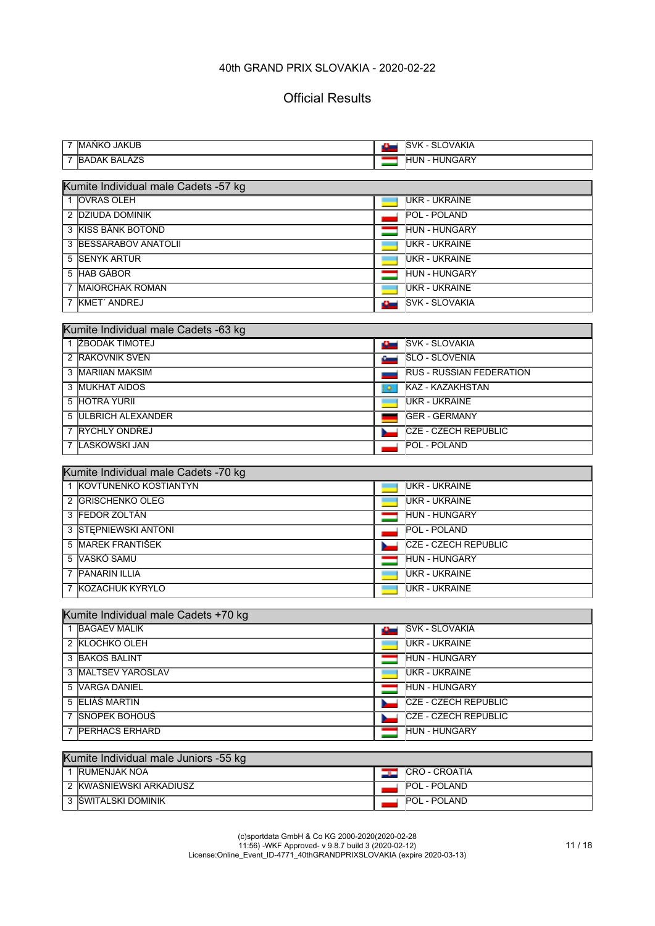| 7 MAŇKO JAKUB                         | <b>SVK - SLOVAKIA</b><br>$\bullet$ |  |  |  |  |
|---------------------------------------|------------------------------------|--|--|--|--|
| 7 BADAK BALÁZS                        | <b>HUN - HUNGARY</b>               |  |  |  |  |
|                                       |                                    |  |  |  |  |
| Kumite Individual male Cadets -57 kg  |                                    |  |  |  |  |
| 1 OVRAS OLEH                          | <b>UKR - UKRAINE</b>               |  |  |  |  |
| 2 DZIUDA DOMINIK                      | <b>POL - POLAND</b>                |  |  |  |  |
| 3 KISS BÁNK BOTOND                    | HUN - HUNGARY                      |  |  |  |  |
| 3 BESSARABOV ANATOLII                 | <b>UKR - UKRAINE</b>               |  |  |  |  |
| 5 SENYK ARTUR                         | <b>UKR - UKRAINE</b>               |  |  |  |  |
| 5 HAB GÁBOR                           | <b>HUN - HUNGARY</b>               |  |  |  |  |
| 7 MAIORCHAK ROMAN                     | <b>UKR - UKRAINE</b>               |  |  |  |  |
| 7 KMET' ANDREJ                        | <b>SVK - SLOVAKIA</b><br>نسائل     |  |  |  |  |
|                                       |                                    |  |  |  |  |
| Kumite Individual male Cadets -63 kg  |                                    |  |  |  |  |
| 1 ŽBODÁK TIMOTEJ                      | <b>SVK - SLOVAKIA</b><br>سائك      |  |  |  |  |
| 2 RAKOVNIK SVEN                       | <b>SLO - SLOVENIA</b><br>نست       |  |  |  |  |
| 3 MARIIAN MAKSIM                      | <b>RUS - RUSSIAN FEDERATION</b>    |  |  |  |  |
| 3 MUKHAT AIDOS                        | KAZ - KAZAKHSTAN<br>$\circ$        |  |  |  |  |
| 5 HOTRA YURII                         | UKR - UKRAINE                      |  |  |  |  |
| 5 <b>ULBRICH ALEXANDER</b>            | <b>GER - GERMANY</b>               |  |  |  |  |
| 7 RYCHLÝ ONDŘEJ                       | CZE - CZECH REPUBLIC               |  |  |  |  |
| 7 LASKOWSKI JAN                       | <b>POL - POLAND</b>                |  |  |  |  |
|                                       |                                    |  |  |  |  |
| Kumite Individual male Cadets -70 kg  |                                    |  |  |  |  |
| 1 KOVTUNENKO KOSTIANTYN               | <b>UKR - UKRAINE</b>               |  |  |  |  |
| 2 GRISCHENKO OLEG                     | <b>UKR - UKRAINE</b>               |  |  |  |  |
| 3 FEDOR ZOLTÁN                        | <b>HUN - HUNGARY</b>               |  |  |  |  |
| 3 STEPNIEWSKI ANTONI                  | POL - POLAND                       |  |  |  |  |
| 5 MAREK FRANTIŠEK                     | <b>CZE - CZECH REPUBLIC</b>        |  |  |  |  |
| 5 VASKÓ SAMU                          | HUN - HUNGARY                      |  |  |  |  |
| 7 PANARIN ILLIA                       | <b>UKR - UKRAINE</b>               |  |  |  |  |
| 7 KOZACHUK KYRYLO                     | <b>UKR - UKRAINE</b>               |  |  |  |  |
| Kumite Individual male Cadets +70 kg  |                                    |  |  |  |  |
| 1 BAGAEV MALIK                        | <b>BU SVK - SLOVAKIA</b>           |  |  |  |  |
| 2 KLOCHKO OLEH                        | <b>UKR - UKRAINE</b><br>$\sim$     |  |  |  |  |
| 3 BAKOS BÁLINT                        | HUN - HUNGARY                      |  |  |  |  |
| 3 MALTSEV YAROSLAV                    | <b>UKR - UKRAINE</b>               |  |  |  |  |
| 5 VARGA DÁNIEL                        | HUN - HUNGARY                      |  |  |  |  |
| 5 ELIÁŠ MARTIN                        | <b>CZE - CZECH REPUBLIC</b>        |  |  |  |  |
| 7 SNOPEK BOHOUS                       | CZE - CZECH REPUBLIC               |  |  |  |  |
| 7 PERHACS ERHARD                      | HUN - HUNGARY                      |  |  |  |  |
|                                       |                                    |  |  |  |  |
| Kumite Individual male Juniors -55 kg |                                    |  |  |  |  |
| 1 RUMENJAK NOA                        | <b>CRO - CROATIA</b><br>H          |  |  |  |  |
| 2 KWAŚNIEWSKI ARKADIUSZ               | POL - POLAND                       |  |  |  |  |
| 3 SWITALSKI DOMINIK                   | POL - POLAND                       |  |  |  |  |
|                                       |                                    |  |  |  |  |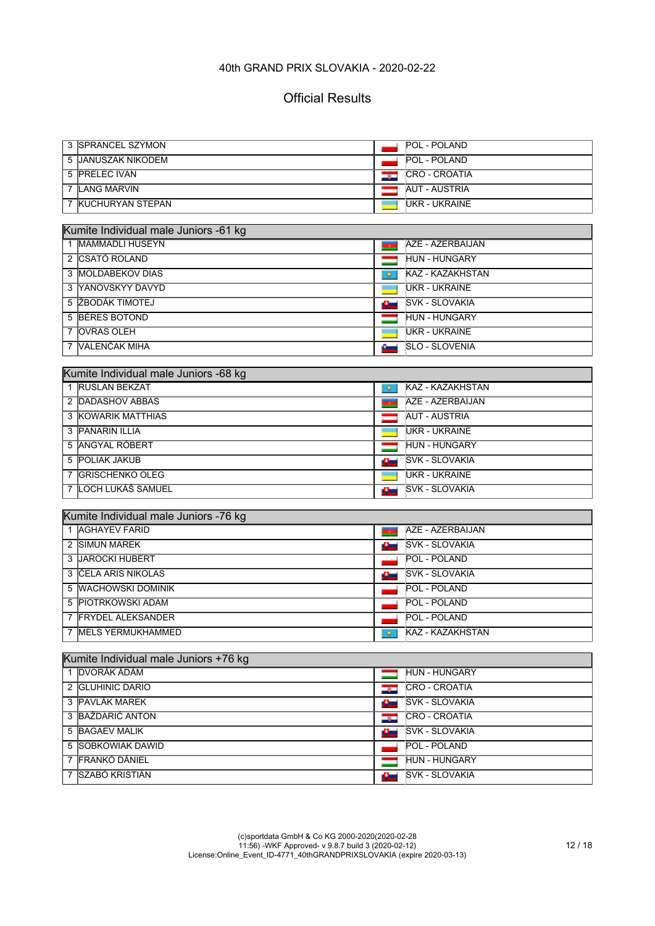#### Official Results

|  | 3 ISPRANCEL SZYMON       | <b>IPOL - POLAND</b>  |
|--|--------------------------|-----------------------|
|  | 5 IJANUSZAK NIKODEM      | <b>IPOL - POLAND</b>  |
|  | 5 IPRELEC IVAN           | ICRO - CROATIA        |
|  | 7 LANG MARVIN            | <b>IAUT - AUSTRIA</b> |
|  | <b>IKUCHURYAN STEPAN</b> | <b>IUKR - UKRAINE</b> |

#### Kumite Individual male Juniors -61 kg

| <b>MAMMADLI HUSEYN</b> |   | AZE - AZERBAIJAN         |
|------------------------|---|--------------------------|
| 2 CSATÓ ROLAND         |   | <b>HUN - HUNGARY</b>     |
| 3 IMOLDABEKOV DIAS     | ۰ | <b>IKAZ - KAZAKHSTAN</b> |
| 3 YANOVSKYY DAVYD      |   | <b>IUKR - UKRAINE</b>    |
| 5 IŽBODÁK TIMOTEJ      |   | <b>SVK - SLOVAKIA</b>    |
| 5 BÉRES BOTOND         |   | <b>HUN - HUNGARY</b>     |
| 7 OVRAS OLEH           |   | <b>IUKR - UKRAINE</b>    |
| VALENČAK MIHA          |   | <b>SLO - SLOVENIA</b>    |
|                        |   |                          |

| Kumite Individual male Juniors -68 kg |      |                       |  |  |
|---------------------------------------|------|-----------------------|--|--|
| 1 RUSLAN BEKZAT                       |      | KAZ - KAZAKHSTAN      |  |  |
| 2 DADASHOV ABBAS                      |      | AZE - AZERBAIJAN      |  |  |
| 3 KOWARIK MATTHIAS                    |      | <b>AUT - AUSTRIA</b>  |  |  |
| 3 PANARIN ILLIA                       |      | <b>IUKR - UKRAINE</b> |  |  |
| 5 ANGYAL RÓBERT                       |      | <b>HUN - HUNGARY</b>  |  |  |
| 5 POLIAK JAKUB                        | سائك | <b>SVK - SLOVAKIA</b> |  |  |
| 7 IGRISCHENKO OLEG                    |      | <b>UKR - UKRAINE</b>  |  |  |
| 7 LOCH LUKÁŠ SAMUEL                   | o.   | <b>SVK - SLOVAKIA</b> |  |  |

#### Kumite Individual male Juniors -76 kg

| 1 AGHAYEV FARID           | <b>TO</b> | AZE - AZERBAIJAN       |
|---------------------------|-----------|------------------------|
| 2 ISIMUN MAREK            | æ.        | <b>ISVK - SLOVAKIA</b> |
| 3 JJAROCKI HUBERT         |           | <b>POL - POLAND</b>    |
| 3 IČELA ARIS NIKOLAS      | d.        | <b>SVK - SLOVAKIA</b>  |
| 5 WACHOWSKI DOMINIK       |           | <b>POL - POLAND</b>    |
| 5 PIOTRKOWSKI ADAM        |           | <b>POL - POLAND</b>    |
| 7 FRYDEL ALEKSANDER       |           | <b>POL - POLAND</b>    |
| <b>IMELS YERMUKHAMMED</b> | ۰         | KAZ - KAZAKHSTAN       |

| Kumite Individual male Juniors +76 kg |                        |     |                       |  |
|---------------------------------------|------------------------|-----|-----------------------|--|
|                                       | 1 IDVORÁK ÁDÁM         |     | <b>HUN - HUNGARY</b>  |  |
|                                       | 2 GLUHINIC DARIO       |     | <b>CRO - CROATIA</b>  |  |
|                                       | 3 PAVLÁK MAREK         | æ.  | <b>SVK - SLOVAKIA</b> |  |
|                                       | 3 BAZDARIC ANTON       | درد | ICRO - CROATIA        |  |
|                                       | 5 BAGAEV MALIK         | 41  | <b>SVK - SLOVAKIA</b> |  |
|                                       | 5 SOBKOWIAK DAWID      |     | <b>POL - POLAND</b>   |  |
|                                       | <b>FRANKÓ DÁNIEL</b>   |     | <b>HUN - HUNGARY</b>  |  |
|                                       | <b>ISZABÓ KRISTIÁN</b> |     | <b>SVK - SLOVAKIA</b> |  |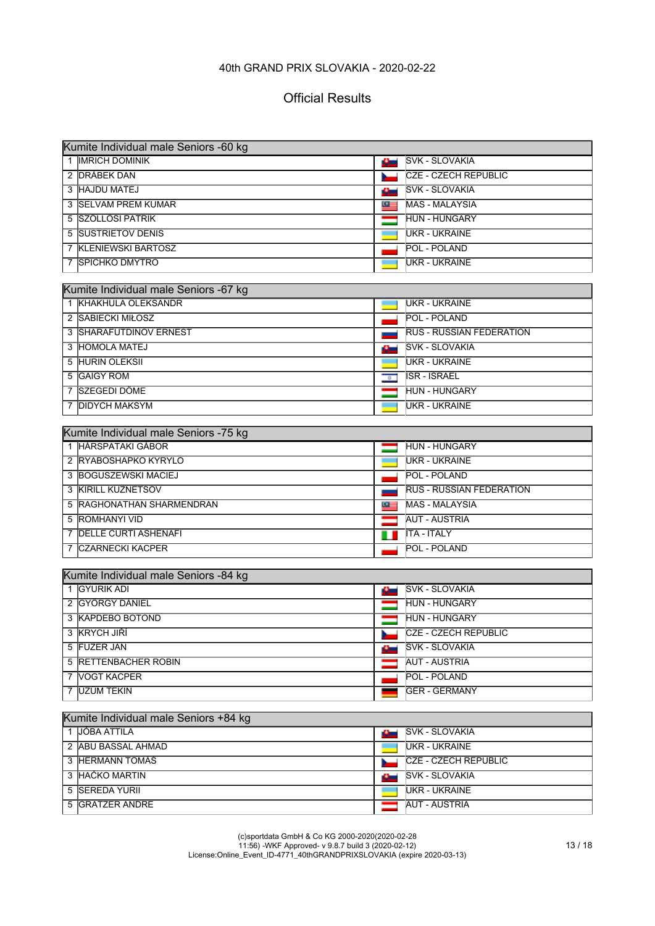#### Official Results

Kumite Individual male Seniors -60 kg

| 1 <b>IMRICH DOMINIK</b>                                     | $\bullet$                         | SVK - SLOVAKIA                             |
|-------------------------------------------------------------|-----------------------------------|--------------------------------------------|
| 2 DRÁBEK DAN                                                |                                   | CZE - CZECH REPUBLIC                       |
| 3 HAJDU MATEJ                                               | سائل                              | <b>SVK - SLOVAKIA</b>                      |
| 3 SELVAM PREM KUMAR                                         | $\circ$ $=$                       | <b>MAS - MALAYSIA</b>                      |
| 5 SZÖLLŐSI PATRIK                                           |                                   | <b>HUN - HUNGARY</b>                       |
| 5 SUSTRIETOV DENIS                                          |                                   | <b>UKR - UKRAINE</b>                       |
| 7 KLENIEWSKI BARTOSZ                                        |                                   | POL - POLAND                               |
| 7 SPICHKO DMYTRO                                            |                                   | <b>UKR - UKRAINE</b>                       |
|                                                             |                                   |                                            |
| Kumite Individual male Seniors -67 kg                       |                                   |                                            |
| 1 KHAKHULA OLEKSANDR                                        | <b>Contract Contract</b>          | <b>UKR - UKRAINE</b>                       |
| 2 SABIECKI MIŁOSZ                                           |                                   | <b>POL - POLAND</b>                        |
| 3 SHARAFUTDINOV ERNEST                                      |                                   | <b>RUS - RUSSIAN FEDERATION</b>            |
| 3 HOMOLA MATEJ                                              | سائل                              | <b>SVK - SLOVAKIA</b>                      |
| 5 HURIN OLEKSII                                             |                                   | <b>UKR - UKRAINE</b>                       |
| 5 GAIGY ROM                                                 | <b>D</b>                          | <b>ISR - ISRAEL</b>                        |
| 7 SZEGEDI DÖME                                              |                                   | <b>HUN - HUNGARY</b>                       |
| 7 DIDYCH MAKSYM                                             |                                   | <b>UKR - UKRAINE</b>                       |
|                                                             |                                   |                                            |
| Kumite Individual male Seniors -75 kg<br>1 HÁRSPATAKI GÁBOR |                                   |                                            |
|                                                             |                                   | <b>HUN - HUNGARY</b>                       |
| 2 RYABOSHAPKO KYRYLO                                        |                                   | <b>UKR - UKRAINE</b>                       |
| 3 BOGUSZEWSKI MACIEJ                                        |                                   | <b>POL - POLAND</b>                        |
| <b>3 KIRILL KUZNETSOV</b>                                   |                                   | <b>RUS - RUSSIAN FEDERATION</b>            |
| 5 RAGHONATHAN SHARMENDRAN                                   | ≃                                 | <b>MAS - MALAYSIA</b>                      |
| 5 ROMHANYI VID                                              |                                   | <b>AUT - AUSTRIA</b><br><b>ITA - ITALY</b> |
| 7 DELLE CURTI ASHENAFI                                      |                                   |                                            |
| 7 CZARNECKI KACPER                                          |                                   | <b>POL - POLAND</b>                        |
| Kumite Individual male Seniors -84 kg                       |                                   |                                            |
| 1 GYURIK ADI                                                | سائل                              | SVK - SLOVAKIA                             |
| 2 GYÖRGY DÁNIEL                                             |                                   | <b>HUN - HUNGARY</b>                       |
| 3 KAPDEBO BOTOND                                            |                                   | <b>HUN - HUNGARY</b>                       |
| 3 KRYCH JIŘÍ                                                |                                   | CZE - CZECH REPUBLIC                       |
| 5 FUZER JAN                                                 | $\Omega$                          | <b>SVK - SLOVAKIA</b>                      |
| 5 RETTENBACHER ROBIN                                        |                                   | <b>AUT - AUSTRIA</b>                       |
| 7 VOGT KACPER                                               |                                   | <b>POL - POLAND</b>                        |
| 7 ÜZÜM TEKIN                                                |                                   | <b>GER - GERMANY</b>                       |
|                                                             |                                   |                                            |
| Kumite Individual male Seniors +84 kg                       |                                   |                                            |
| 1 JÓBA ATTILA                                               | سائك                              | SVK - SLOVAKIA                             |
| 2 ABU BASSAL AHMAD                                          |                                   | <b>UKR - UKRAINE</b>                       |
| 3 HERMANN TOMÁŠ                                             |                                   | CZE - CZECH REPUBLIC                       |
| 3 HAČKO MARTIN                                              | سائك                              | <b>SVK - SLOVAKIA</b>                      |
| 5 SEREDA YURII                                              | <b>Contract Contract Contract</b> | <b>UKR - UKRAINE</b>                       |
| 5 GRATZER ANDRE                                             |                                   | <b>AUT - AUSTRIA</b>                       |
|                                                             |                                   |                                            |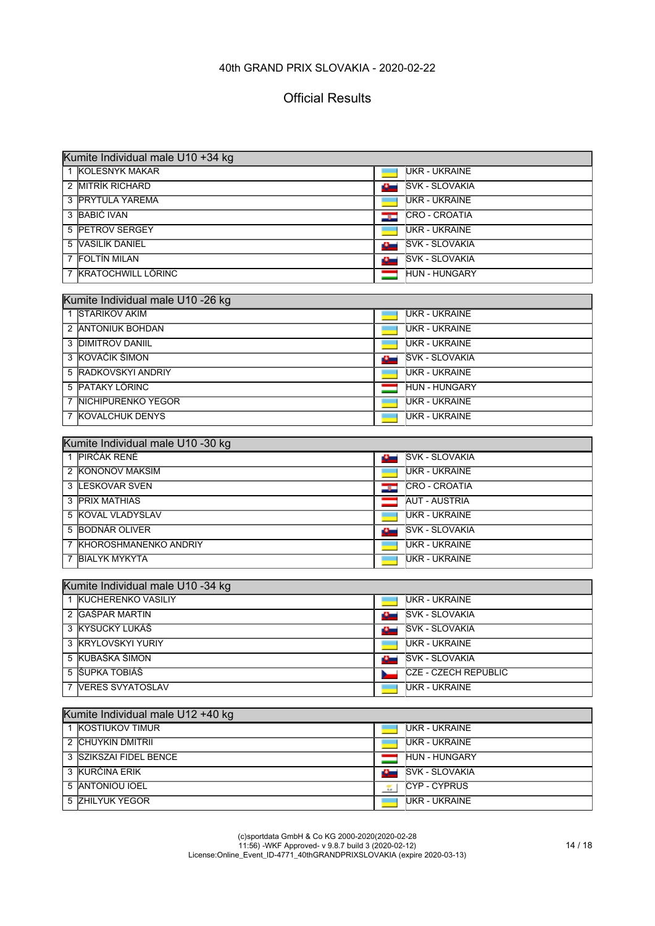| Kumite Individual male U10 +34 kg |                |                             |  |  |
|-----------------------------------|----------------|-----------------------------|--|--|
| 1 KOLESNYK MAKAR                  |                | <b>UKR - UKRAINE</b>        |  |  |
| 2 MITRÍK RICHARD                  | æ.             | <b>SVK - SLOVAKIA</b>       |  |  |
| 3 PRYTULA YAREMA                  |                | <b>UKR - UKRAINE</b>        |  |  |
| 3 BABIĆ IVAN                      | دود            | CRO - CROATIA               |  |  |
| 5 PETROV SERGEY                   | التنازل        | <b>UKR - UKRAINE</b>        |  |  |
| 5 VASILÍK DANIEL                  | ست             | <b>SVK - SLOVAKIA</b>       |  |  |
| 7 FOLTÍN MILAN                    | 43             | <b>SVK - SLOVAKIA</b>       |  |  |
| 7 KRATOCHWILL LŐRINC              |                | <b>HUN - HUNGARY</b>        |  |  |
|                                   |                |                             |  |  |
| Kumite Individual male U10 -26 kg |                |                             |  |  |
| 1 STARIKOV AKIM                   |                | <b>UKR - UKRAINE</b>        |  |  |
| 2 ANTONIUK BOHDAN                 |                | <b>UKR - UKRAINE</b>        |  |  |
| 3 DIMITROV DANIIL                 |                | <b>UKR - UKRAINE</b>        |  |  |
| 3 KOVÁČIK ŠIMON                   | ست             | <b>SVK - SLOVAKIA</b>       |  |  |
| 5 RADKOVSKYI ANDRIY               |                | <b>UKR - UKRAINE</b>        |  |  |
| 5 PATAKY LŐRINC                   |                | <b>HUN - HUNGARY</b>        |  |  |
| 7 NICHIPURENKO YEGOR              |                | UKR - UKRAINE               |  |  |
| 7 KOVALCHUK DENYS                 |                | <b>UKR - UKRAINE</b>        |  |  |
|                                   |                |                             |  |  |
| Kumite Individual male U10 -30 kg |                |                             |  |  |
| 1 PIRČÁK RENÉ                     | سائل           | SVK - SLOVAKIA              |  |  |
| 2 KONONOV MAKSIM                  |                | <b>UKR - UKRAINE</b>        |  |  |
| 3 LESKOVAR SVEN                   | دود            | CRO - CROATIA               |  |  |
| 3 PRIX MATHIAS                    |                | <b>AUT - AUSTRIA</b>        |  |  |
| 5 KOVAL VLADYSLAV                 |                | <b>UKR - UKRAINE</b>        |  |  |
| 5 BODNÁR OLIVER                   | 42             | <b>SVK - SLOVAKIA</b>       |  |  |
| 7 KHOROSHMANENKO ANDRIY           |                | <b>UKR - UKRAINE</b>        |  |  |
| 7 BIALYK MYKYTA                   |                | <b>UKR - UKRAINE</b>        |  |  |
|                                   |                |                             |  |  |
| Kumite Individual male U10 -34 kg |                |                             |  |  |
| 1 KUCHERENKO VASILIY              |                | <b>UKR - UKRAINE</b>        |  |  |
| 2 GAŠPAR MARTIN                   | <b>Chai</b>    | SVK - SLOVAKIA              |  |  |
| 3 KYSUCKÝ LUKÁŠ                   | <b>Charles</b> | <b>SVK - SLOVAKIA</b>       |  |  |
| 3 KRYLOVSKYI YURIY                |                | UKR - UKRAINE               |  |  |
| 5 KUBAŠKA ŠIMON                   |                | SVK - SLOVAKIA              |  |  |
| 5 SUPKA TOBIÁS                    |                | <b>CZE - CZECH REPUBLIC</b> |  |  |
| 7 VERES SVYATOSLAV                |                | <b>UKR - UKRAINE</b>        |  |  |
|                                   |                |                             |  |  |
| Kumite Individual male U12 +40 kg |                |                             |  |  |
| 1 KOSTIUKOV TIMUR                 |                | <b>UKR - UKRAINE</b>        |  |  |
| 2 CHUYKIN DMITRII                 |                | <b>UKR - UKRAINE</b>        |  |  |
| 3 SZIKSZAI FIDEL BENCE            |                | HUN - HUNGARY               |  |  |
| 3 KURČINA ERIK                    | Œ              | <b>SVK - SLOVAKIA</b>       |  |  |
| 5 ANTONIOU IOEL                   | $\frac{1}{2}$  | CYP - CYPRUS                |  |  |
| 5 ZHILYUK YEGOR                   |                | <b>UKR - UKRAINE</b>        |  |  |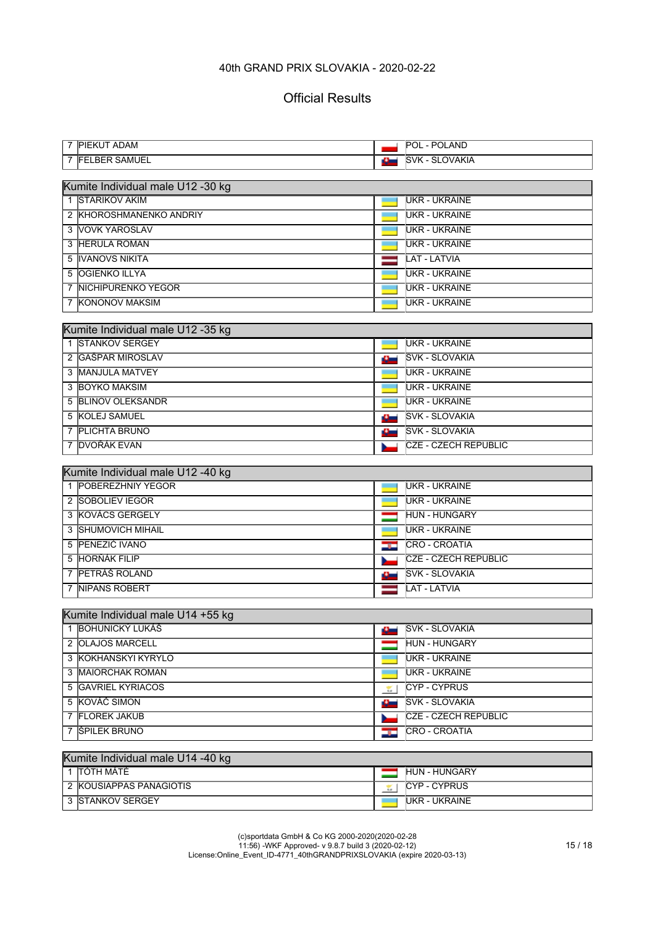| 7 PIEKUT ADAM                     |               | <b>POL - POLAND</b>         |
|-----------------------------------|---------------|-----------------------------|
| 7 FELBER SAMUEL                   | سائل          | <b>SVK - SLOVAKIA</b>       |
|                                   |               |                             |
| Kumite Individual male U12 -30 kg |               |                             |
| 1 STARIKOV AKIM                   |               | <b>UKR - UKRAINE</b>        |
| 2 KHOROSHMANENKO ANDRIY           | المنابع       | <b>UKR - UKRAINE</b>        |
| 3 VOVK YAROSLAV                   |               | <b>UKR - UKRAINE</b>        |
| 3 HERULA ROMAN                    |               | <b>UKR - UKRAINE</b>        |
| <b>5 IVANOVS NIKITA</b>           |               | <b>LAT - LATVIA</b>         |
| 5 OGIENKO ILLYA                   |               | <b>UKR - UKRAINE</b>        |
| 7 NICHIPURENKO YEGOR              |               | <b>UKR - UKRAINE</b>        |
| 7 KONONOV MAKSIM                  |               | <b>UKR - UKRAINE</b>        |
|                                   |               |                             |
| Kumite Individual male U12 -35 kg |               |                             |
| 1 STANKOV SERGEY                  |               | <b>UKR - UKRAINE</b>        |
| 2 GAŠPAR MIROSLAV                 | ست            | <b>SVK - SLOVAKIA</b>       |
| 3 MANJULA MATVEY                  |               | <b>UKR - UKRAINE</b>        |
| 3 BOYKO MAKSIM                    |               | <b>UKR - UKRAINE</b>        |
| 5 BLINOV OLEKSANDR                |               | <b>UKR - UKRAINE</b>        |
| 5 KOLEJ SAMUEL                    | ست            | <b>SVK - SLOVAKIA</b>       |
| 7 PLICHTA BRUNO                   | نسائك         | <b>SVK - SLOVAKIA</b>       |
| 7 DVOŘÁK EVAN                     |               | CZE - CZECH REPUBLIC        |
|                                   |               |                             |
| Kumite Individual male U12 -40 kg |               |                             |
| 1 POBEREZHNIY YEGOR               |               | <b>UKR - UKRAINE</b>        |
| 2 SOBOLIEV IEGOR                  |               | <b>UKR - UKRAINE</b>        |
| 3 KOVÁCS GERGELY                  |               | <b>HUN - HUNGARY</b>        |
| 3 SHUMOVICH MIHAIL                |               | <b>UKR - UKRAINE</b>        |
| 5 PENEZIĆ IVANO                   | دود           | <b>CRO - CROATIA</b>        |
| 5 HORŇÁK FILIP                    |               | <b>CZE - CZECH REPUBLIC</b> |
| 7 PETRÁŠ ROLAND                   | 42            | <b>SVK - SLOVAKIA</b>       |
| 7 NIPANS ROBERT                   |               | <b>LAT - LATVIA</b>         |
|                                   |               |                             |
| Kumite Individual male U14 +55 kg |               |                             |
| 1 BOHUNICKÝ LUKÁŠ                 |               | <b>B</b> SVK - SLOVAKIA     |
| 2 OLAJOS MARCELL                  |               | <b>HUN - HUNGARY</b>        |
| 3 KOKHANSKYI KYRYLO               |               | <b>UKR - UKRAINE</b>        |
| 3 MAIORCHAK ROMAN                 |               | <b>UKR - UKRAINE</b>        |
| 5 GAVRIEL KYRIACOS                | $\frac{1}{2}$ | CYP - CYPRUS                |
| 5 KOVÁČ SIMON                     | 41 -          | <b>SVK - SLOVAKIA</b>       |
| 7 FLOREK JAKUB                    |               | CZE - CZECH REPUBLIC        |
| 7 SPILEK BRUNO                    | -92           | CRO - CROATIA               |
|                                   |               |                             |
| Kumite Individual male U14 -40 kg |               |                             |
| 1 ΤΌΤΗ ΜΑΤΈ                       | ═             | <b>HUN - HUNGARY</b>        |
| 2 KOUSIAPPAS PANAGIOTIS           | $\mathbf{r}$  | CYP - CYPRUS                |
| 3 STANKOV SERGEY                  |               | <b>UKR - UKRAINE</b>        |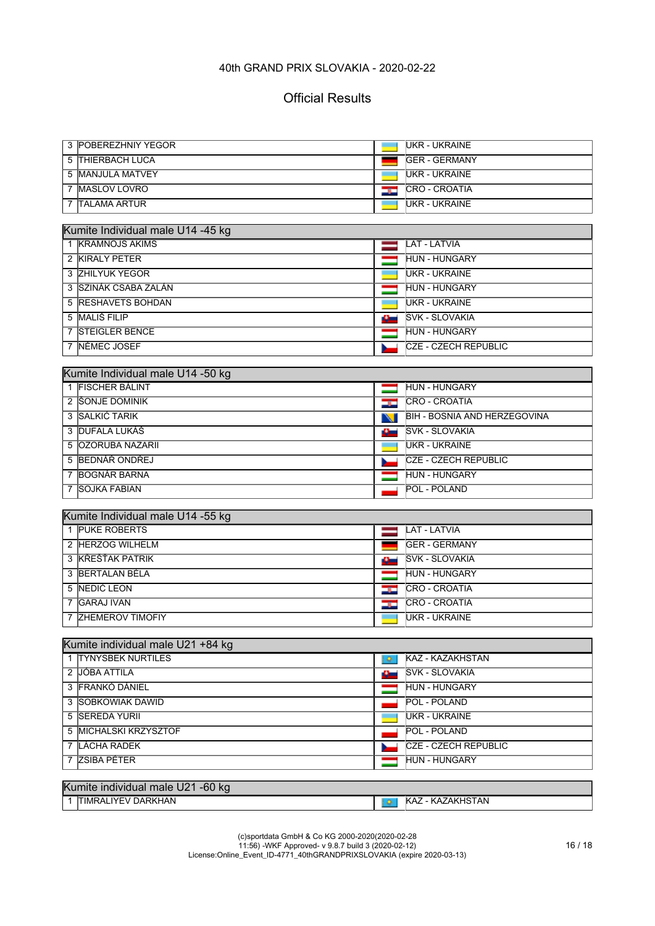#### Official Results

|  | 3 POBEREZHNIY YEGOR |  | <b>IUKR - UKRAINE</b> |  |
|--|---------------------|--|-----------------------|--|
|  |                     |  |                       |  |
|  | 5 THIERBACH LUCA    |  | <b>IGER - GERMANY</b> |  |
|  |                     |  |                       |  |
|  | 5 IMANJULA MATVEY   |  | <b>IUKR - UKRAINE</b> |  |
|  |                     |  |                       |  |
|  | MASLOV LOVRO        |  | ICRO - CROATIA        |  |
|  | 7 ITALAMA ARTUR     |  | <b>IUKR - UKRAINE</b> |  |
|  |                     |  |                       |  |
|  |                     |  |                       |  |

#### Kumite Individual male U14 -45 kg

| <b>KRAMNOJS AKIMS</b> | LAT - LATVIA                |
|-----------------------|-----------------------------|
| 2 KIRALY PETER        | <b>HUN - HUNGARY</b>        |
| 3 ZHILYUK YEGOR       | <b>UKR - UKRAINE</b>        |
| 3 SZINÁK CSABA ZALÁN  | <b>HUN - HUNGARY</b>        |
| 5 RESHAVETS BOHDAN    | <b>IUKR - UKRAINE</b>       |
| 5 MALIŠ FILIP         | <b>ISVK - SLOVAKIA</b>      |
| 7 STEIGLER BENCE      | <b>HUN - HUNGARY</b>        |
| <b>INÈMEC JOSEF</b>   | <b>CZE - CZECH REPUBLIC</b> |
|                       |                             |

| Kumite Individual male U14 -50 kg |       |                                     |  |
|-----------------------------------|-------|-------------------------------------|--|
| 1 FISCHER BÁLINT                  |       | <b>HUN - HUNGARY</b>                |  |
| 2 IŠONJE DOMINIK                  |       | ICRO - CROATIA                      |  |
| 3 SALKIĆ TARIK                    |       | <b>BIH - BOSNIA AND HERZEGOVINA</b> |  |
| 3 DUFALA LUKÁŠ                    | نسائك | <b>ISVK - SLOVAKIA</b>              |  |
| 5 OZORUBA NAZARII                 |       | IUKR - UKRAINE                      |  |
| 5 BEDNÁŘ ONDŘEJ                   |       | ICZE - CZECH REPUBLIC               |  |
| 7 BOGNÁR BARNA                    |       | <b>HUN - HUNGARY</b>                |  |
| 7 ISOJKA FABIAN                   |       | <b>POL - POLAND</b>                 |  |

#### Kumite Individual male U14 -55 kg 1 PUKE ROBERTS **LAT - LATVIA** 2 HERZOG WILHELM GER - GERMANY 3 KŘEŠŤAK PATRIK SLOVAKIA 3 BERTALAN BÉLA HUNGARY HUNGARY 5 NEDIĆ LEON CROATIA 7 GARAJ IVAN CRO - CROATIA 7 ZHEMEROV TIMOFIY **UKR - UKRAINE**

| Kumite individual male U21 +84 kg |    |                             |  |  |
|-----------------------------------|----|-----------------------------|--|--|
| 1 <b>ITYNYSBEK NURTILES</b>       | ۰  | KAZ - KAZAKHSTAN            |  |  |
| 2 JOBA ATTILA                     | £. | <b>SVK - SLOVAKIA</b>       |  |  |
| 3 FRANKÓ DÁNIEL                   |    | <b>HUN - HUNGARY</b>        |  |  |
| 3 SOBKOWIAK DAWID                 |    | POL - POLAND                |  |  |
| 5 SEREDA YURII                    |    | <b>IUKR - UKRAINE</b>       |  |  |
| 5 MICHALSKI KRZYSZTOF             |    | POL - POLAND                |  |  |
| 7 LÁCHA RADEK                     |    | <b>CZE - CZECH REPUBLIC</b> |  |  |
| 7 ZSIBA PÉTER                     |    | <b>HUN - HUNGARY</b>        |  |  |
|                                   |    |                             |  |  |
| Kumite individual male U21 -60 kg |    |                             |  |  |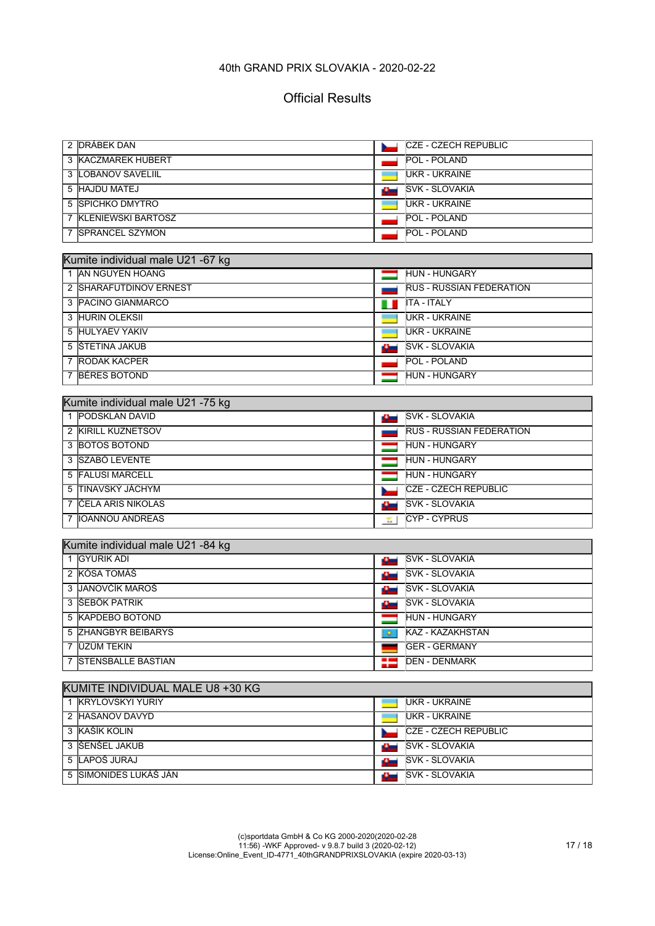| 2 DRÁBEK DAN                      | <b>CZE - CZECH REPUBLIC</b>     |
|-----------------------------------|---------------------------------|
| 3 KACZMAREK HUBERT                | <b>POL - POLAND</b>             |
| 3 LOBANOV SAVELIIL                | <b>UKR - UKRAINE</b>            |
| 5 HAJDU MATEJ                     | <b>SVK - SLOVAKIA</b><br>52.30  |
| 5 SPICHKO DMYTRO                  | <b>UKR - UKRAINE</b>            |
| 7 KLENIEWSKI BARTOSZ              | <b>POL - POLAND</b>             |
| <b>SPRANCEL SZYMON</b>            | POL - POLAND                    |
|                                   |                                 |
| Kumite individual male U21 -67 kg |                                 |
| 1 AN NGUYEN HOANG                 | HUN - HUNGARY                   |
| 2 SHARAFUTDINOV ERNEST            | <b>RUS - RUSSIAN FEDERATION</b> |
| 3 PACINO GIANMARCO                | <b>ITA - ITALY</b>              |
| 3 HURIN OLEKSII                   | <b>UKR - UKRAINE</b><br>المستور |
| 5 HULYAEV YAKIV                   | <b>UKR - UKRAINE</b>            |
| 5 STETINA JAKUB                   | <b>SVK - SLOVAKIA</b><br>42     |
| 7 RODAK KACPER                    | POL - POLAND                    |
| 7 BÉRES BOTOND                    | HUN - HUNGARY                   |
|                                   |                                 |
| Kumite individual male U21 -75 kg |                                 |
| 1 PODSKLAN DAVID                  | <b>SVK - SLOVAKIA</b><br>سائل   |
| 2 KIRILL KUZNETSOV                | <b>RUS - RUSSIAN FEDERATION</b> |
| 3 BOTOS BOTOND                    | HUN - HUNGARY                   |
| 3 SZABÓ LEVENTE                   | HUN - HUNGARY                   |
| 5 FALUSI MARCELL                  | HUN - HUNGARY                   |
| 5 TINAVSKÝ JÁCHYM                 | CZE - CZECH REPUBLIC            |
| 7 ČELA ARIS NIKOLAS               | <b>SVK - SLOVAKIA</b><br>25     |
| 7  IOANNOU ANDREAS                | CYP - CYPRUS<br>$\frac{1}{2}$   |
|                                   |                                 |
| Kumite individual male U21 -84 kg |                                 |
| 1 GYURIK ADI                      | SVK - SLOVAKIA<br>نسائك         |
| 2 KÓSA TOMÁŠ                      | <b>SVK - SLOVAKIA</b><br>سائل   |
| 3 JANOVČÍK MAROŠ                  | SVK - SLOVAKIA<br>سن            |
| 3 SEBÖK PATRIK                    | <b>SVK - SLOVAKIA</b><br>42-    |
| <b>5 KAPDEBO BOTOND</b>           | HUN - HUNGARY                   |
| 5 ZHANGBYR BEIBARYS               | <b>B</b> KAZ - KAZAKHSTAN       |
| 7  ÜZÜM TEKIN                     | <b>GER - GERMANY</b><br>$\sim$  |
| 7 STENSBALLE BASTIAN              | <b>DEN - DENMARK</b><br>≡≡      |
|                                   |                                 |
| KUMITE INDIVIDUAL MALE U8 +30 KG  |                                 |
| 1 KRYLOVSKYI YURIY                | UKR - UKRAINE                   |
| 2 HASANOV DAVYD                   | UKR - UKRAINE<br>المستقبل       |
| 3 KAŠÍK KOLIN                     | <b>CZE - CZECH REPUBLIC</b>     |
| 3 SENSEL JAKUB                    | <b>SVK - SLOVAKIA</b><br>42-    |
| 5 LAPOŠ JURAJ                     | <b>SVK - SLOVAKIA</b><br>سه     |
| 5 SIMONIDES LUKÁŠ JÁN             | <b>SVK - SLOVAKIA</b><br>ست     |